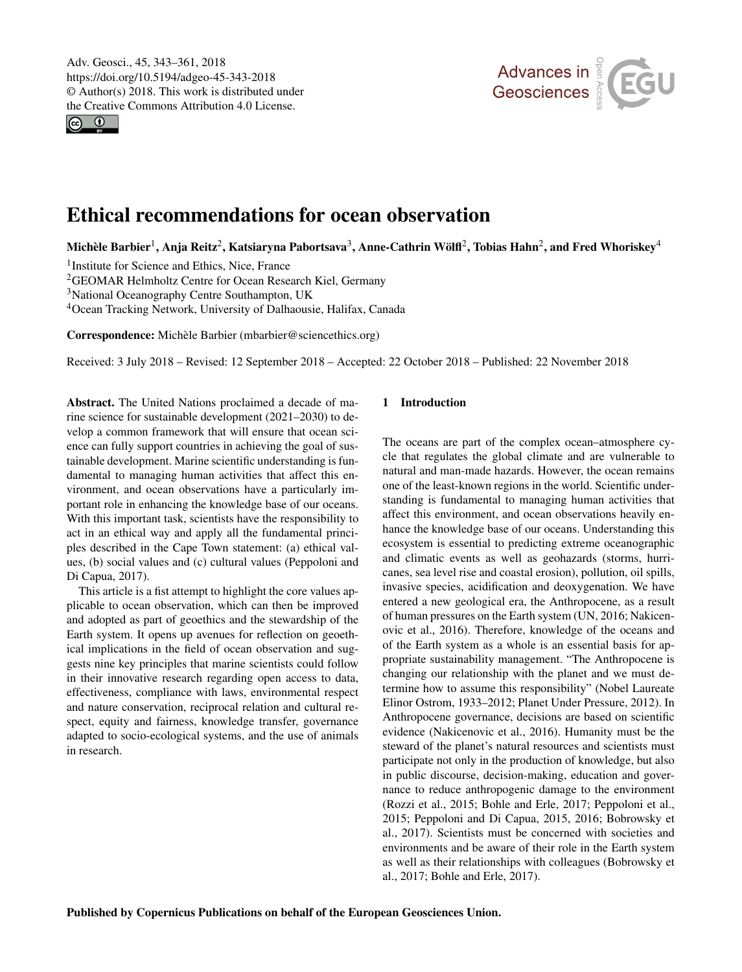<span id="page-0-1"></span>Adv. Geosci., 45, 343–361, 2018 https://doi.org/10.5194/adgeo-45-343-2018 © Author(s) 2018. This work is distributed under the Creative Commons Attribution 4.0 License.

 $\circ$   $\circ$ 



# Ethical recommendations for ocean observation

Michèle Barbier $^1$  $^1$ , Anja Reitz $^2$  $^2$ , Katsiaryna Pabortsava $^3$  $^3$ , Anne-Cathrin Wölfl $^2$ , Tobias Hahn $^2$ , and Fred Whoriskey $^4$  $^4$ 

<sup>1</sup> Institute for Science and Ethics, Nice, France

<sup>2</sup>GEOMAR Helmholtz Centre for Ocean Research Kiel, Germany

<sup>3</sup>National Oceanography Centre Southampton, UK

<sup>4</sup>Ocean Tracking Network, University of Dalhaousie, Halifax, Canada

Correspondence: Michèle Barbier (mbarbier@sciencethics.org)

Received: 3 July 2018 – Revised: 12 September 2018 – Accepted: 22 October 2018 – Published: 22 November 2018

<span id="page-0-0"></span>Abstract. The United Nations proclaimed a decade of marine science for sustainable development (2021–2030) to develop a common framework that will ensure that ocean science can fully support countries in achieving the goal of sustainable development. Marine scientific understanding is fundamental to managing human activities that affect this environment, and ocean observations have a particularly important role in enhancing the knowledge base of our oceans. With this important task, scientists have the responsibility to act in an ethical way and apply all the fundamental principles described in the Cape Town statement: (a) ethical values, (b) social values and (c) cultural values (Peppoloni and Di Capua, 2017).

This article is a fist attempt to highlight the core values applicable to ocean observation, which can then be improved and adopted as part of geoethics and the stewardship of the Earth system. It opens up avenues for reflection on geoethical implications in the field of ocean observation and suggests nine key principles that marine scientists could follow in their innovative research regarding open access to data, effectiveness, compliance with laws, environmental respect and nature conservation, reciprocal relation and cultural respect, equity and fairness, knowledge transfer, governance adapted to socio-ecological systems, and the use of animals in research.

# 1 Introduction

The oceans are part of the complex ocean–atmosphere cycle that regulates the global climate and are vulnerable to natural and man-made hazards. However, the ocean remains one of the least-known regions in the world. Scientific understanding is fundamental to managing human activities that affect this environment, and ocean observations heavily enhance the knowledge base of our oceans. Understanding this ecosystem is essential to predicting extreme oceanographic and climatic events as well as geohazards (storms, hurricanes, sea level rise and coastal erosion), pollution, oil spills, invasive species, acidification and deoxygenation. We have entered a new geological era, the Anthropocene, as a result of human pressures on the Earth system (UN, 2016; Nakicenovic et al., 2016). Therefore, knowledge of the oceans and of the Earth system as a whole is an essential basis for appropriate sustainability management. "The Anthropocene is changing our relationship with the planet and we must determine how to assume this responsibility" (Nobel Laureate Elinor Ostrom, 1933–2012; Planet Under Pressure, 2012). In Anthropocene governance, decisions are based on scientific evidence (Nakicenovic et al., 2016). Humanity must be the steward of the planet's natural resources and scientists must participate not only in the production of knowledge, but also in public discourse, decision-making, education and governance to reduce anthropogenic damage to the environment (Rozzi et al., 2015; Bohle and Erle, 2017; Peppoloni et al., 2015; Peppoloni and Di Capua, 2015, 2016; Bobrowsky et al., 2017). Scientists must be concerned with societies and environments and be aware of their role in the Earth system as well as their relationships with colleagues (Bobrowsky et al., 2017; Bohle and Erle, 2017).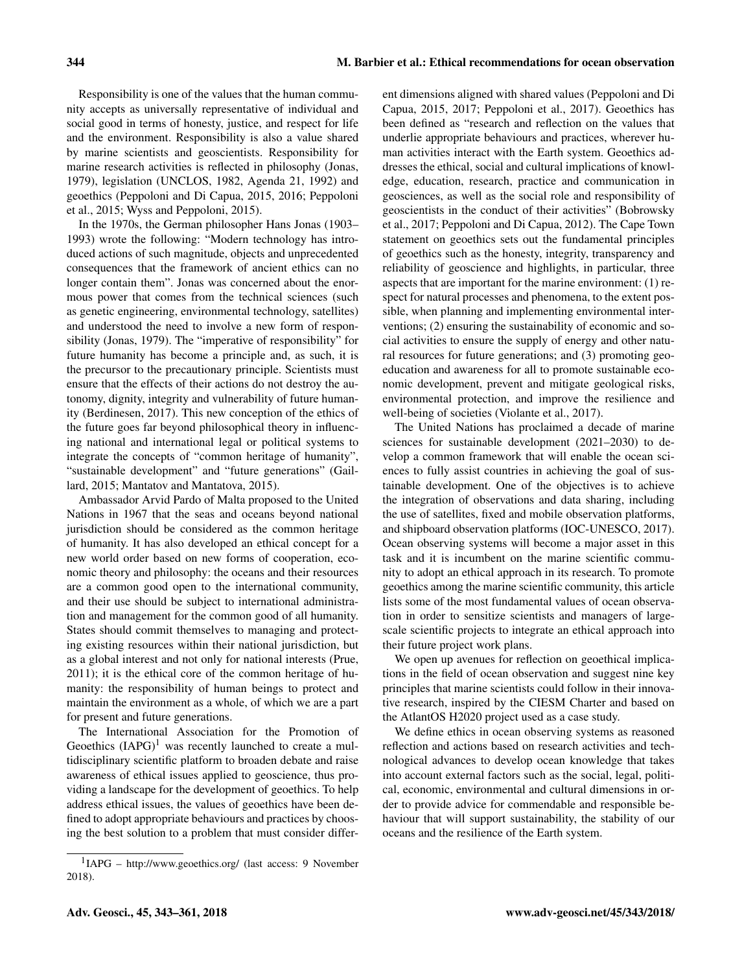Responsibility is one of the values that the human community accepts as universally representative of individual and social good in terms of honesty, justice, and respect for life and the environment. Responsibility is also a value shared by marine scientists and geoscientists. Responsibility for marine research activities is reflected in philosophy (Jonas, 1979), legislation (UNCLOS, 1982, Agenda 21, 1992) and geoethics (Peppoloni and Di Capua, 2015, 2016; Peppoloni et al., 2015; Wyss and Peppoloni, 2015).

In the 1970s, the German philosopher Hans Jonas (1903– 1993) wrote the following: "Modern technology has introduced actions of such magnitude, objects and unprecedented consequences that the framework of ancient ethics can no longer contain them". Jonas was concerned about the enormous power that comes from the technical sciences (such as genetic engineering, environmental technology, satellites) and understood the need to involve a new form of responsibility (Jonas, 1979). The "imperative of responsibility" for future humanity has become a principle and, as such, it is the precursor to the precautionary principle. Scientists must ensure that the effects of their actions do not destroy the autonomy, dignity, integrity and vulnerability of future humanity (Berdinesen, 2017). This new conception of the ethics of the future goes far beyond philosophical theory in influencing national and international legal or political systems to integrate the concepts of "common heritage of humanity", "sustainable development" and "future generations" (Gaillard, 2015; Mantatov and Mantatova, 2015).

Ambassador Arvid Pardo of Malta proposed to the United Nations in 1967 that the seas and oceans beyond national jurisdiction should be considered as the common heritage of humanity. It has also developed an ethical concept for a new world order based on new forms of cooperation, economic theory and philosophy: the oceans and their resources are a common good open to the international community, and their use should be subject to international administration and management for the common good of all humanity. States should commit themselves to managing and protecting existing resources within their national jurisdiction, but as a global interest and not only for national interests (Prue, 2011); it is the ethical core of the common heritage of humanity: the responsibility of human beings to protect and maintain the environment as a whole, of which we are a part for present and future generations.

The International Association for the Promotion of Geoethics  $(IAPG)^1$  was recently launched to create a multidisciplinary scientific platform to broaden debate and raise awareness of ethical issues applied to geoscience, thus providing a landscape for the development of geoethics. To help address ethical issues, the values of geoethics have been defined to adopt appropriate behaviours and practices by choosing the best solution to a problem that must consider different dimensions aligned with shared values (Peppoloni and Di Capua, 2015, 2017; Peppoloni et al., 2017). Geoethics has been defined as "research and reflection on the values that underlie appropriate behaviours and practices, wherever human activities interact with the Earth system. Geoethics addresses the ethical, social and cultural implications of knowledge, education, research, practice and communication in geosciences, as well as the social role and responsibility of geoscientists in the conduct of their activities" (Bobrowsky et al., 2017; Peppoloni and Di Capua, 2012). The Cape Town statement on geoethics sets out the fundamental principles of geoethics such as the honesty, integrity, transparency and reliability of geoscience and highlights, in particular, three aspects that are important for the marine environment: (1) respect for natural processes and phenomena, to the extent possible, when planning and implementing environmental interventions; (2) ensuring the sustainability of economic and social activities to ensure the supply of energy and other natural resources for future generations; and (3) promoting geoeducation and awareness for all to promote sustainable economic development, prevent and mitigate geological risks, environmental protection, and improve the resilience and well-being of societies (Violante et al., 2017).

The United Nations has proclaimed a decade of marine sciences for sustainable development (2021–2030) to develop a common framework that will enable the ocean sciences to fully assist countries in achieving the goal of sustainable development. One of the objectives is to achieve the integration of observations and data sharing, including the use of satellites, fixed and mobile observation platforms, and shipboard observation platforms (IOC-UNESCO, 2017). Ocean observing systems will become a major asset in this task and it is incumbent on the marine scientific community to adopt an ethical approach in its research. To promote geoethics among the marine scientific community, this article lists some of the most fundamental values of ocean observation in order to sensitize scientists and managers of largescale scientific projects to integrate an ethical approach into their future project work plans.

We open up avenues for reflection on geoethical implications in the field of ocean observation and suggest nine key principles that marine scientists could follow in their innovative research, inspired by the CIESM Charter and based on the AtlantOS H2020 project used as a case study.

We define ethics in ocean observing systems as reasoned reflection and actions based on research activities and technological advances to develop ocean knowledge that takes into account external factors such as the social, legal, political, economic, environmental and cultural dimensions in order to provide advice for commendable and responsible behaviour that will support sustainability, the stability of our oceans and the resilience of the Earth system.

<sup>1</sup> IAPG – <http://www.geoethics.org/> (last access: 9 November 2018).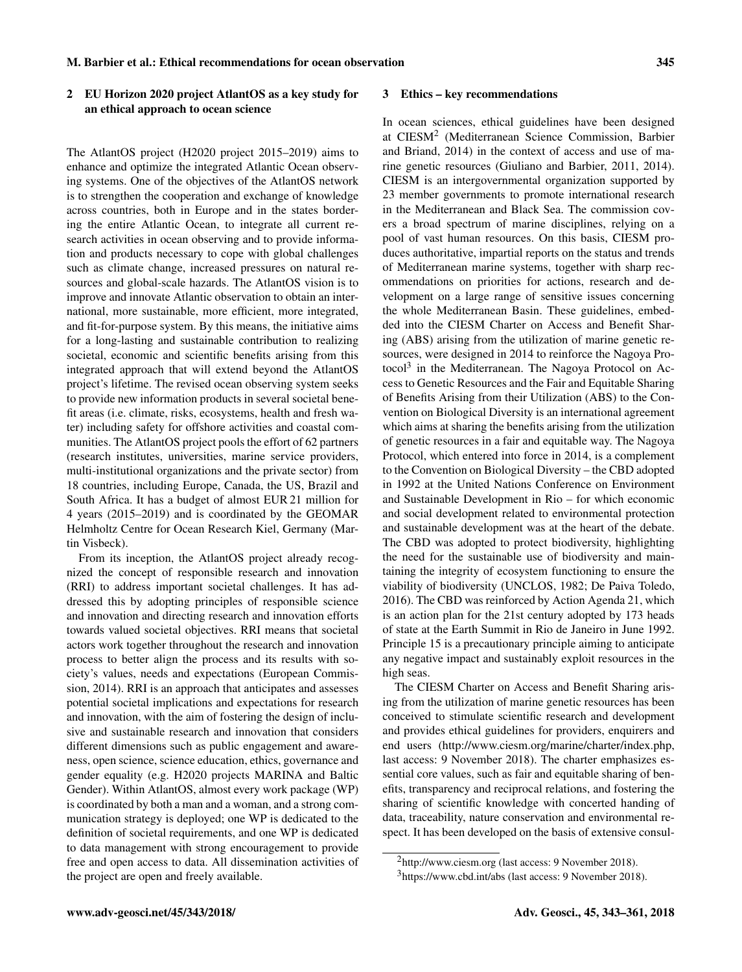## 2 EU Horizon 2020 project AtlantOS as a key study for an ethical approach to ocean science

The AtlantOS project (H2020 project 2015–2019) aims to enhance and optimize the integrated Atlantic Ocean observing systems. One of the objectives of the AtlantOS network is to strengthen the cooperation and exchange of knowledge across countries, both in Europe and in the states bordering the entire Atlantic Ocean, to integrate all current research activities in ocean observing and to provide information and products necessary to cope with global challenges such as climate change, increased pressures on natural resources and global-scale hazards. The AtlantOS vision is to improve and innovate Atlantic observation to obtain an international, more sustainable, more efficient, more integrated, and fit-for-purpose system. By this means, the initiative aims for a long-lasting and sustainable contribution to realizing societal, economic and scientific benefits arising from this integrated approach that will extend beyond the AtlantOS project's lifetime. The revised ocean observing system seeks to provide new information products in several societal benefit areas (i.e. climate, risks, ecosystems, health and fresh water) including safety for offshore activities and coastal communities. The AtlantOS project pools the effort of 62 partners (research institutes, universities, marine service providers, multi-institutional organizations and the private sector) from 18 countries, including Europe, Canada, the US, Brazil and South Africa. It has a budget of almost EUR 21 million for 4 years (2015–2019) and is coordinated by the GEOMAR Helmholtz Centre for Ocean Research Kiel, Germany (Martin Visbeck).

From its inception, the AtlantOS project already recognized the concept of responsible research and innovation (RRI) to address important societal challenges. It has addressed this by adopting principles of responsible science and innovation and directing research and innovation efforts towards valued societal objectives. RRI means that societal actors work together throughout the research and innovation process to better align the process and its results with society's values, needs and expectations (European Commission, 2014). RRI is an approach that anticipates and assesses potential societal implications and expectations for research and innovation, with the aim of fostering the design of inclusive and sustainable research and innovation that considers different dimensions such as public engagement and awareness, open science, science education, ethics, governance and gender equality (e.g. H2020 projects MARINA and Baltic Gender). Within AtlantOS, almost every work package (WP) is coordinated by both a man and a woman, and a strong communication strategy is deployed; one WP is dedicated to the definition of societal requirements, and one WP is dedicated to data management with strong encouragement to provide free and open access to data. All dissemination activities of the project are open and freely available.

#### 3 Ethics – key recommendations

In ocean sciences, ethical guidelines have been designed at CIESM<sup>2</sup> (Mediterranean Science Commission, Barbier and Briand, 2014) in the context of access and use of marine genetic resources (Giuliano and Barbier, 2011, 2014). CIESM is an intergovernmental organization supported by 23 member governments to promote international research in the Mediterranean and Black Sea. The commission covers a broad spectrum of marine disciplines, relying on a pool of vast human resources. On this basis, CIESM produces authoritative, impartial reports on the status and trends of Mediterranean marine systems, together with sharp recommendations on priorities for actions, research and development on a large range of sensitive issues concerning the whole Mediterranean Basin. These guidelines, embedded into the CIESM Charter on Access and Benefit Sharing (ABS) arising from the utilization of marine genetic resources, were designed in 2014 to reinforce the Nagoya Protocol<sup>3</sup> in the Mediterranean. The Nagoya Protocol on Access to Genetic Resources and the Fair and Equitable Sharing of Benefits Arising from their Utilization (ABS) to the Convention on Biological Diversity is an international agreement which aims at sharing the benefits arising from the utilization of genetic resources in a fair and equitable way. The Nagoya Protocol, which entered into force in 2014, is a complement to the Convention on Biological Diversity – the CBD adopted in 1992 at the United Nations Conference on Environment and Sustainable Development in Rio – for which economic and social development related to environmental protection and sustainable development was at the heart of the debate. The CBD was adopted to protect biodiversity, highlighting the need for the sustainable use of biodiversity and maintaining the integrity of ecosystem functioning to ensure the viability of biodiversity (UNCLOS, 1982; De Paiva Toledo, 2016). The CBD was reinforced by Action Agenda 21, which is an action plan for the 21st century adopted by 173 heads of state at the Earth Summit in Rio de Janeiro in June 1992. Principle 15 is a precautionary principle aiming to anticipate any negative impact and sustainably exploit resources in the high seas.

The CIESM Charter on Access and Benefit Sharing arising from the utilization of marine genetic resources has been conceived to stimulate scientific research and development and provides ethical guidelines for providers, enquirers and end users [\(http://www.ciesm.org/marine/charter/index.php,](http://www.ciesm.org/marine/charter/index.php) last access: 9 November 2018). The charter emphasizes essential core values, such as fair and equitable sharing of benefits, transparency and reciprocal relations, and fostering the sharing of scientific knowledge with concerted handing of data, traceability, nature conservation and environmental respect. It has been developed on the basis of extensive consul-

<sup>2</sup><http://www.ciesm.org> (last access: 9 November 2018).

<sup>3</sup><https://www.cbd.int/abs> (last access: 9 November 2018).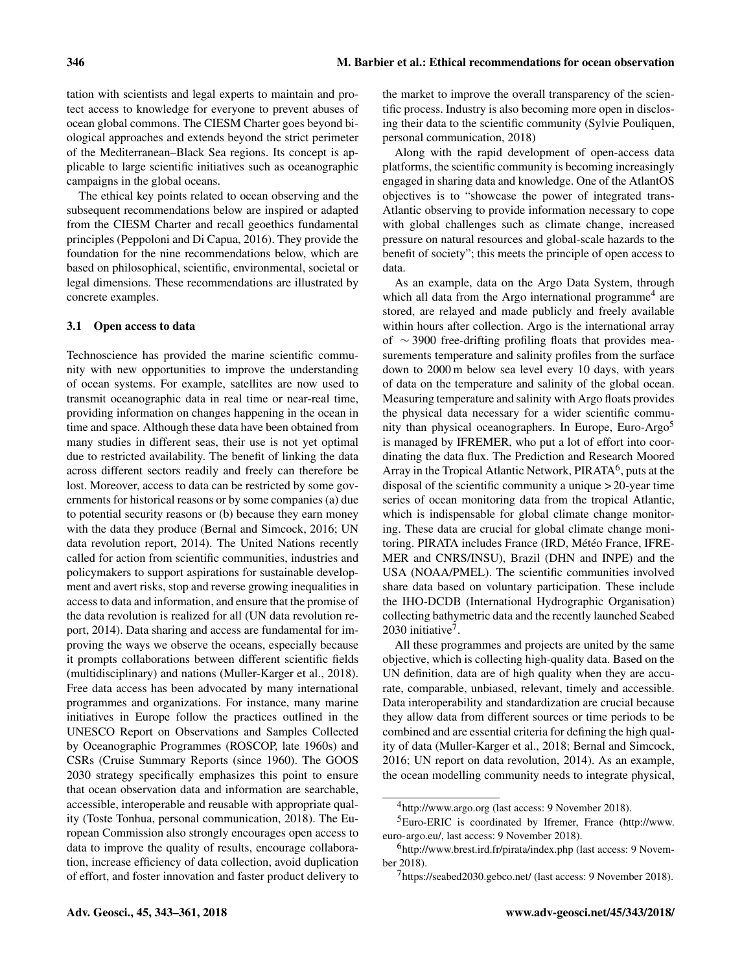tation with scientists and legal experts to maintain and protect access to knowledge for everyone to prevent abuses of ocean global commons. The CIESM Charter goes beyond biological approaches and extends beyond the strict perimeter of the Mediterranean–Black Sea regions. Its concept is applicable to large scientific initiatives such as oceanographic campaigns in the global oceans.

The ethical key points related to ocean observing and the subsequent recommendations below are inspired or adapted from the CIESM Charter and recall geoethics fundamental principles (Peppoloni and Di Capua, 2016). They provide the foundation for the nine recommendations below, which are based on philosophical, scientific, environmental, societal or legal dimensions. These recommendations are illustrated by concrete examples.

## 3.1 Open access to data

Technoscience has provided the marine scientific community with new opportunities to improve the understanding of ocean systems. For example, satellites are now used to transmit oceanographic data in real time or near-real time, providing information on changes happening in the ocean in time and space. Although these data have been obtained from many studies in different seas, their use is not yet optimal due to restricted availability. The benefit of linking the data across different sectors readily and freely can therefore be lost. Moreover, access to data can be restricted by some governments for historical reasons or by some companies (a) due to potential security reasons or (b) because they earn money with the data they produce (Bernal and Simcock, 2016; UN data revolution report, 2014). The United Nations recently called for action from scientific communities, industries and policymakers to support aspirations for sustainable development and avert risks, stop and reverse growing inequalities in access to data and information, and ensure that the promise of the data revolution is realized for all (UN data revolution report, 2014). Data sharing and access are fundamental for improving the ways we observe the oceans, especially because it prompts collaborations between different scientific fields (multidisciplinary) and nations (Muller-Karger et al., 2018). Free data access has been advocated by many international programmes and organizations. For instance, many marine initiatives in Europe follow the practices outlined in the UNESCO Report on Observations and Samples Collected by Oceanographic Programmes (ROSCOP, late 1960s) and CSRs (Cruise Summary Reports (since 1960). The GOOS 2030 strategy specifically emphasizes this point to ensure that ocean observation data and information are searchable, accessible, interoperable and reusable with appropriate quality (Toste Tonhua, personal communication, 2018). The European Commission also strongly encourages open access to data to improve the quality of results, encourage collaboration, increase efficiency of data collection, avoid duplication of effort, and foster innovation and faster product delivery to

the market to improve the overall transparency of the scientific process. Industry is also becoming more open in disclosing their data to the scientific community (Sylvie Pouliquen, personal communication, 2018)

Along with the rapid development of open-access data platforms, the scientific community is becoming increasingly engaged in sharing data and knowledge. One of the AtlantOS objectives is to "showcase the power of integrated trans-Atlantic observing to provide information necessary to cope with global challenges such as climate change, increased pressure on natural resources and global-scale hazards to the benefit of society"; this meets the principle of open access to data.

As an example, data on the Argo Data System, through which all data from the Argo international programme<sup>4</sup> are stored, are relayed and made publicly and freely available within hours after collection. Argo is the international array of ∼ 3900 free-drifting profiling floats that provides measurements temperature and salinity profiles from the surface down to 2000 m below sea level every 10 days, with years of data on the temperature and salinity of the global ocean. Measuring temperature and salinity with Argo floats provides the physical data necessary for a wider scientific community than physical oceanographers. In Europe, Euro-Argo<sup>5</sup> is managed by IFREMER, who put a lot of effort into coordinating the data flux. The Prediction and Research Moored Array in the Tropical Atlantic Network, PIRATA<sup>6</sup>, puts at the disposal of the scientific community a unique > 20-year time series of ocean monitoring data from the tropical Atlantic, which is indispensable for global climate change monitoring. These data are crucial for global climate change monitoring. PIRATA includes France (IRD, Météo France, IFRE-MER and CNRS/INSU), Brazil (DHN and INPE) and the USA (NOAA/PMEL). The scientific communities involved share data based on voluntary participation. These include the IHO-DCDB (International Hydrographic Organisation) collecting bathymetric data and the recently launched Seabed 2030 initiative<sup>7</sup> .

All these programmes and projects are united by the same objective, which is collecting high-quality data. Based on the UN definition, data are of high quality when they are accurate, comparable, unbiased, relevant, timely and accessible. Data interoperability and standardization are crucial because they allow data from different sources or time periods to be combined and are essential criteria for defining the high quality of data (Muller-Karger et al., 2018; Bernal and Simcock, 2016; UN report on data revolution, 2014). As an example, the ocean modelling community needs to integrate physical,

<sup>4</sup><http://www.argo.org> (last access: 9 November 2018).

<sup>5</sup>Euro-ERIC is coordinated by Ifremer, France [\(http://www.](http://www.euro-argo.eu/) [euro-argo.eu/,](http://www.euro-argo.eu/) last access: 9 November 2018).

<sup>6</sup><http://www.brest.ird.fr/pirata/index.php> (last access: 9 November 2018).

<sup>7</sup><https://seabed2030.gebco.net/> (last access: 9 November 2018).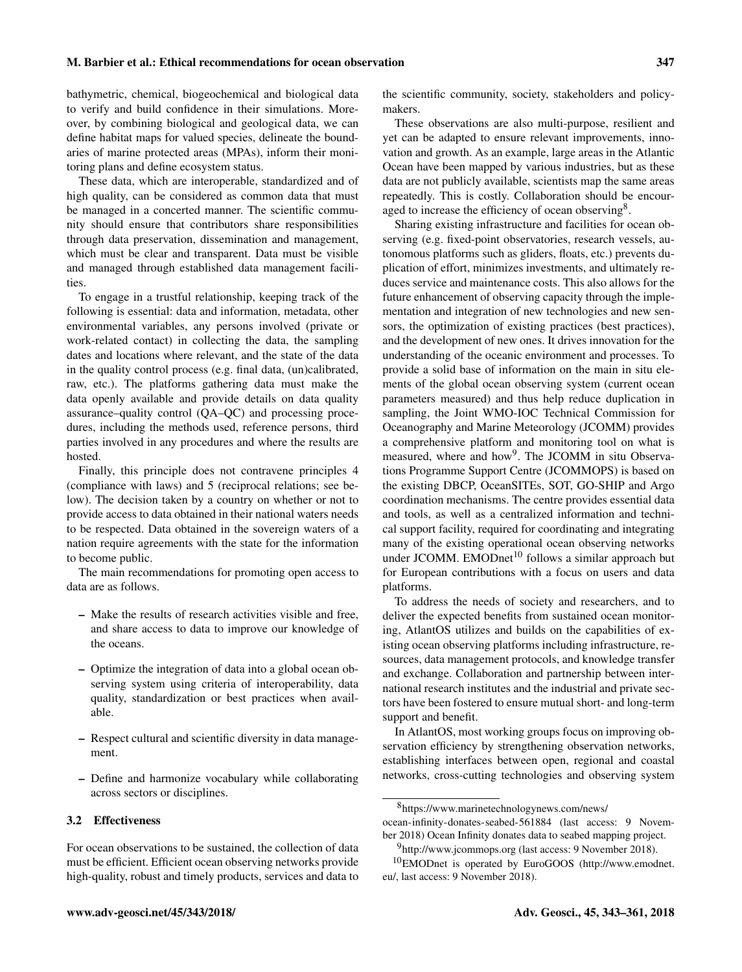bathymetric, chemical, biogeochemical and biological data to verify and build confidence in their simulations. Moreover, by combining biological and geological data, we can define habitat maps for valued species, delineate the boundaries of marine protected areas (MPAs), inform their monitoring plans and define ecosystem status.

These data, which are interoperable, standardized and of high quality, can be considered as common data that must be managed in a concerted manner. The scientific community should ensure that contributors share responsibilities through data preservation, dissemination and management, which must be clear and transparent. Data must be visible and managed through established data management facilities.

To engage in a trustful relationship, keeping track of the following is essential: data and information, metadata, other environmental variables, any persons involved (private or work-related contact) in collecting the data, the sampling dates and locations where relevant, and the state of the data in the quality control process (e.g. final data, (un)calibrated, raw, etc.). The platforms gathering data must make the data openly available and provide details on data quality assurance–quality control (QA–QC) and processing procedures, including the methods used, reference persons, third parties involved in any procedures and where the results are hosted.

Finally, this principle does not contravene principles 4 (compliance with laws) and 5 (reciprocal relations; see below). The decision taken by a country on whether or not to provide access to data obtained in their national waters needs to be respected. Data obtained in the sovereign waters of a nation require agreements with the state for the information to become public.

The main recommendations for promoting open access to data are as follows.

- Make the results of research activities visible and free, and share access to data to improve our knowledge of the oceans.
- Optimize the integration of data into a global ocean observing system using criteria of interoperability, data quality, standardization or best practices when available.
- Respect cultural and scientific diversity in data management.
- Define and harmonize vocabulary while collaborating across sectors or disciplines.

## 3.2 Effectiveness

For ocean observations to be sustained, the collection of data must be efficient. Efficient ocean observing networks provide high-quality, robust and timely products, services and data to the scientific community, society, stakeholders and policymakers.

These observations are also multi-purpose, resilient and yet can be adapted to ensure relevant improvements, innovation and growth. As an example, large areas in the Atlantic Ocean have been mapped by various industries, but as these data are not publicly available, scientists map the same areas repeatedly. This is costly. Collaboration should be encouraged to increase the efficiency of ocean observing<sup>8</sup>.

Sharing existing infrastructure and facilities for ocean observing (e.g. fixed-point observatories, research vessels, autonomous platforms such as gliders, floats, etc.) prevents duplication of effort, minimizes investments, and ultimately reduces service and maintenance costs. This also allows for the future enhancement of observing capacity through the implementation and integration of new technologies and new sensors, the optimization of existing practices (best practices), and the development of new ones. It drives innovation for the understanding of the oceanic environment and processes. To provide a solid base of information on the main in situ elements of the global ocean observing system (current ocean parameters measured) and thus help reduce duplication in sampling, the Joint WMO-IOC Technical Commission for Oceanography and Marine Meteorology (JCOMM) provides a comprehensive platform and monitoring tool on what is measured, where and how<sup>9</sup>. The JCOMM in situ Observations Programme Support Centre (JCOMMOPS) is based on the existing DBCP, OceanSITEs, SOT, GO-SHIP and Argo coordination mechanisms. The centre provides essential data and tools, as well as a centralized information and technical support facility, required for coordinating and integrating many of the existing operational ocean observing networks under JCOMM. EMODnet<sup>10</sup> follows a similar approach but for European contributions with a focus on users and data platforms.

To address the needs of society and researchers, and to deliver the expected benefits from sustained ocean monitoring, AtlantOS utilizes and builds on the capabilities of existing ocean observing platforms including infrastructure, resources, data management protocols, and knowledge transfer and exchange. Collaboration and partnership between international research institutes and the industrial and private sectors have been fostered to ensure mutual short- and long-term support and benefit.

In AtlantOS, most working groups focus on improving observation efficiency by strengthening observation networks, establishing interfaces between open, regional and coastal networks, cross-cutting technologies and observing system

<sup>8</sup>[https://www.marinetechnologynews.com/news/](https://www.marinetechnologynews.com/news/ocean-infinity-donates-seabed-561884)

[ocean-infinity-donates-seabed-561884](https://www.marinetechnologynews.com/news/ocean-infinity-donates-seabed-561884) (last access: 9 November 2018) Ocean Infinity donates data to seabed mapping project.

<sup>&</sup>lt;sup>9</sup><http://www.jcommops.org> (last access: 9 November 2018).

<sup>10</sup>EMODnet is operated by EuroGOOS [\(http://www.emodnet.](http://www.emodnet.eu/) [eu/,](http://www.emodnet.eu/) last access: 9 November 2018).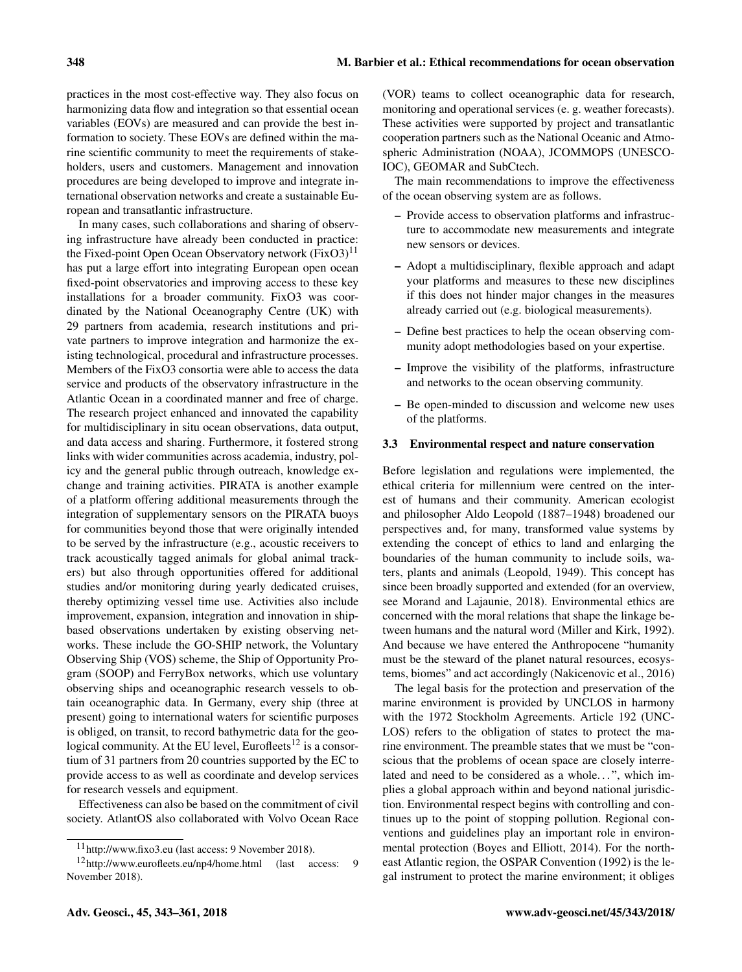practices in the most cost-effective way. They also focus on harmonizing data flow and integration so that essential ocean variables (EOVs) are measured and can provide the best information to society. These EOVs are defined within the marine scientific community to meet the requirements of stakeholders, users and customers. Management and innovation procedures are being developed to improve and integrate international observation networks and create a sustainable European and transatlantic infrastructure.

In many cases, such collaborations and sharing of observing infrastructure have already been conducted in practice: the Fixed-point Open Ocean Observatory network  $(FixO3)^{11}$ has put a large effort into integrating European open ocean fixed-point observatories and improving access to these key installations for a broader community. FixO3 was coordinated by the National Oceanography Centre (UK) with 29 partners from academia, research institutions and private partners to improve integration and harmonize the existing technological, procedural and infrastructure processes. Members of the FixO3 consortia were able to access the data service and products of the observatory infrastructure in the Atlantic Ocean in a coordinated manner and free of charge. The research project enhanced and innovated the capability for multidisciplinary in situ ocean observations, data output, and data access and sharing. Furthermore, it fostered strong links with wider communities across academia, industry, policy and the general public through outreach, knowledge exchange and training activities. PIRATA is another example of a platform offering additional measurements through the integration of supplementary sensors on the PIRATA buoys for communities beyond those that were originally intended to be served by the infrastructure (e.g., acoustic receivers to track acoustically tagged animals for global animal trackers) but also through opportunities offered for additional studies and/or monitoring during yearly dedicated cruises, thereby optimizing vessel time use. Activities also include improvement, expansion, integration and innovation in shipbased observations undertaken by existing observing networks. These include the GO-SHIP network, the Voluntary Observing Ship (VOS) scheme, the Ship of Opportunity Program (SOOP) and FerryBox networks, which use voluntary observing ships and oceanographic research vessels to obtain oceanographic data. In Germany, every ship (three at present) going to international waters for scientific purposes is obliged, on transit, to record bathymetric data for the geological community. At the EU level, Eurofleets<sup>12</sup> is a consortium of 31 partners from 20 countries supported by the EC to provide access to as well as coordinate and develop services for research vessels and equipment.

Effectiveness can also be based on the commitment of civil society. AtlantOS also collaborated with Volvo Ocean Race (VOR) teams to collect oceanographic data for research, monitoring and operational services (e. g. weather forecasts). These activities were supported by project and transatlantic cooperation partners such as the National Oceanic and Atmospheric Administration (NOAA), JCOMMOPS (UNESCO-IOC), GEOMAR and SubCtech.

The main recommendations to improve the effectiveness of the ocean observing system are as follows.

- Provide access to observation platforms and infrastructure to accommodate new measurements and integrate new sensors or devices.
- Adopt a multidisciplinary, flexible approach and adapt your platforms and measures to these new disciplines if this does not hinder major changes in the measures already carried out (e.g. biological measurements).
- Define best practices to help the ocean observing community adopt methodologies based on your expertise.
- Improve the visibility of the platforms, infrastructure and networks to the ocean observing community.
- Be open-minded to discussion and welcome new uses of the platforms.

#### 3.3 Environmental respect and nature conservation

Before legislation and regulations were implemented, the ethical criteria for millennium were centred on the interest of humans and their community. American ecologist and philosopher Aldo Leopold (1887–1948) broadened our perspectives and, for many, transformed value systems by extending the concept of ethics to land and enlarging the boundaries of the human community to include soils, waters, plants and animals (Leopold, 1949). This concept has since been broadly supported and extended (for an overview, see Morand and Lajaunie, 2018). Environmental ethics are concerned with the moral relations that shape the linkage between humans and the natural word (Miller and Kirk, 1992). And because we have entered the Anthropocene "humanity must be the steward of the planet natural resources, ecosystems, biomes" and act accordingly (Nakicenovic et al., 2016)

The legal basis for the protection and preservation of the marine environment is provided by UNCLOS in harmony with the 1972 Stockholm Agreements. Article 192 (UNC-LOS) refers to the obligation of states to protect the marine environment. The preamble states that we must be "conscious that the problems of ocean space are closely interrelated and need to be considered as a whole...", which implies a global approach within and beyond national jurisdiction. Environmental respect begins with controlling and continues up to the point of stopping pollution. Regional conventions and guidelines play an important role in environmental protection (Boyes and Elliott, 2014). For the northeast Atlantic region, the OSPAR Convention (1992) is the legal instrument to protect the marine environment; it obliges

<sup>11</sup><http://www.fixo3.eu> (last access: 9 November 2018).

<sup>12</sup><http://www.eurofleets.eu/np4/home.html> (last access: 9 November 2018).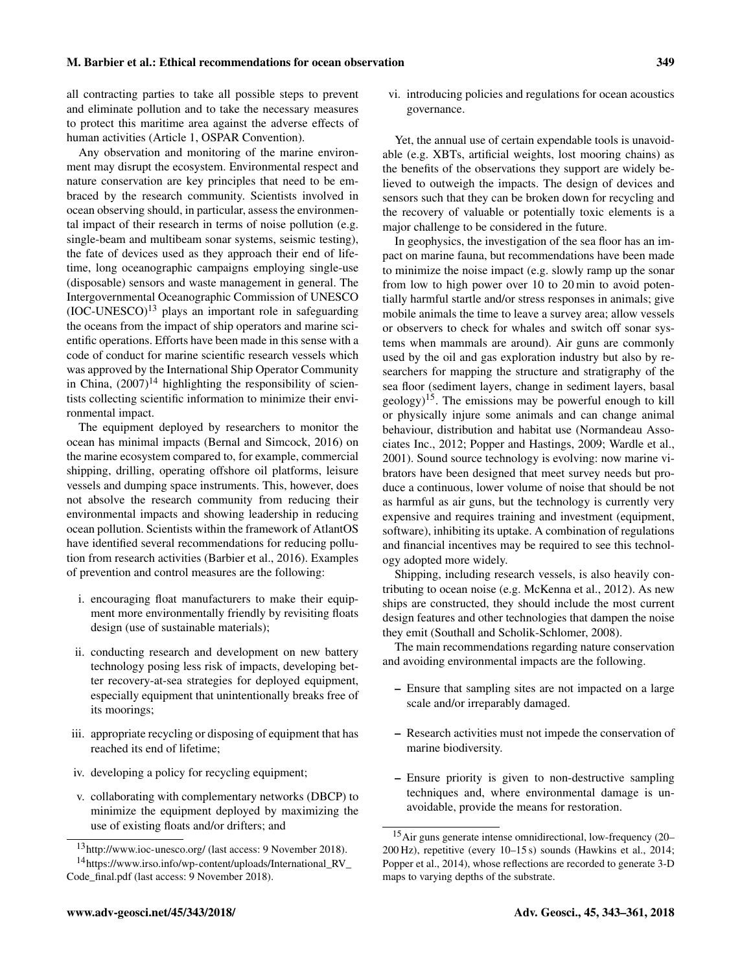all contracting parties to take all possible steps to prevent and eliminate pollution and to take the necessary measures to protect this maritime area against the adverse effects of human activities (Article 1, OSPAR Convention).

Any observation and monitoring of the marine environment may disrupt the ecosystem. Environmental respect and nature conservation are key principles that need to be embraced by the research community. Scientists involved in ocean observing should, in particular, assess the environmental impact of their research in terms of noise pollution (e.g. single-beam and multibeam sonar systems, seismic testing), the fate of devices used as they approach their end of lifetime, long oceanographic campaigns employing single-use (disposable) sensors and waste management in general. The Intergovernmental Oceanographic Commission of UNESCO  $(IOC-UNESCO)<sup>13</sup>$  plays an important role in safeguarding the oceans from the impact of ship operators and marine scientific operations. Efforts have been made in this sense with a code of conduct for marine scientific research vessels which was approved by the International Ship Operator Community in China,  $(2007)^{14}$  highlighting the responsibility of scientists collecting scientific information to minimize their environmental impact.

The equipment deployed by researchers to monitor the ocean has minimal impacts (Bernal and Simcock, 2016) on the marine ecosystem compared to, for example, commercial shipping, drilling, operating offshore oil platforms, leisure vessels and dumping space instruments. This, however, does not absolve the research community from reducing their environmental impacts and showing leadership in reducing ocean pollution. Scientists within the framework of AtlantOS have identified several recommendations for reducing pollution from research activities (Barbier et al., 2016). Examples of prevention and control measures are the following:

- i. encouraging float manufacturers to make their equipment more environmentally friendly by revisiting floats design (use of sustainable materials);
- ii. conducting research and development on new battery technology posing less risk of impacts, developing better recovery-at-sea strategies for deployed equipment, especially equipment that unintentionally breaks free of its moorings;
- iii. appropriate recycling or disposing of equipment that has reached its end of lifetime;
- iv. developing a policy for recycling equipment;
- v. collaborating with complementary networks (DBCP) to minimize the equipment deployed by maximizing the use of existing floats and/or drifters; and

vi. introducing policies and regulations for ocean acoustics governance.

Yet, the annual use of certain expendable tools is unavoidable (e.g. XBTs, artificial weights, lost mooring chains) as the benefits of the observations they support are widely believed to outweigh the impacts. The design of devices and sensors such that they can be broken down for recycling and the recovery of valuable or potentially toxic elements is a major challenge to be considered in the future.

In geophysics, the investigation of the sea floor has an impact on marine fauna, but recommendations have been made to minimize the noise impact (e.g. slowly ramp up the sonar from low to high power over 10 to 20 min to avoid potentially harmful startle and/or stress responses in animals; give mobile animals the time to leave a survey area; allow vessels or observers to check for whales and switch off sonar systems when mammals are around). Air guns are commonly used by the oil and gas exploration industry but also by researchers for mapping the structure and stratigraphy of the sea floor (sediment layers, change in sediment layers, basal  $\text{geology}$ <sup>15</sup>. The emissions may be powerful enough to kill or physically injure some animals and can change animal behaviour, distribution and habitat use (Normandeau Associates Inc., 2012; Popper and Hastings, 2009; Wardle et al., 2001). Sound source technology is evolving: now marine vibrators have been designed that meet survey needs but produce a continuous, lower volume of noise that should be not as harmful as air guns, but the technology is currently very expensive and requires training and investment (equipment, software), inhibiting its uptake. A combination of regulations and financial incentives may be required to see this technology adopted more widely.

Shipping, including research vessels, is also heavily contributing to ocean noise (e.g. McKenna et al., 2012). As new ships are constructed, they should include the most current design features and other technologies that dampen the noise they emit (Southall and Scholik-Schlomer, 2008).

The main recommendations regarding nature conservation and avoiding environmental impacts are the following.

- Ensure that sampling sites are not impacted on a large scale and/or irreparably damaged.
- Research activities must not impede the conservation of marine biodiversity.
- Ensure priority is given to non-destructive sampling techniques and, where environmental damage is unavoidable, provide the means for restoration.

<sup>13</sup><http://www.ioc-unesco.org/> (last access: 9 November 2018). <sup>14</sup>[https://www.irso.info/wp-content/uploads/International\\_RV\\_](https://www.irso.info/wp-content/uploads/International_RV_Code_final.pdf)

[Code\\_final.pdf](https://www.irso.info/wp-content/uploads/International_RV_Code_final.pdf) (last access: 9 November 2018).

<sup>15</sup>Air guns generate intense omnidirectional, low-frequency (20– 200 Hz), repetitive (every 10–15 s) sounds (Hawkins et al., 2014; Popper et al., 2014), whose reflections are recorded to generate 3-D maps to varying depths of the substrate.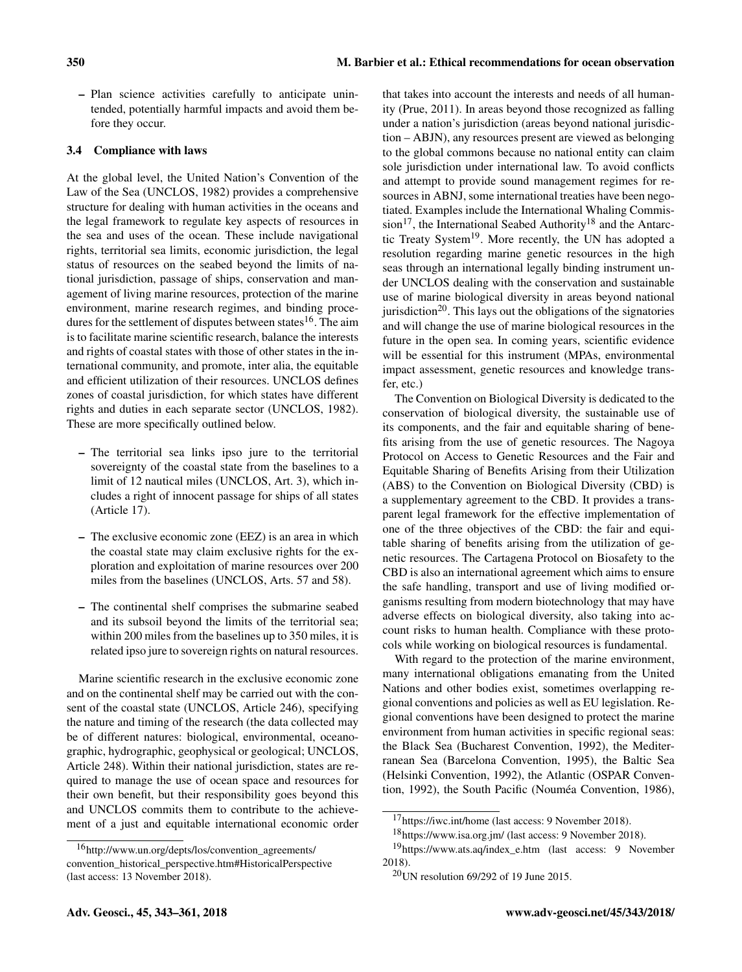– Plan science activities carefully to anticipate unintended, potentially harmful impacts and avoid them before they occur.

## 3.4 Compliance with laws

At the global level, the United Nation's Convention of the Law of the Sea (UNCLOS, 1982) provides a comprehensive structure for dealing with human activities in the oceans and the legal framework to regulate key aspects of resources in the sea and uses of the ocean. These include navigational rights, territorial sea limits, economic jurisdiction, the legal status of resources on the seabed beyond the limits of national jurisdiction, passage of ships, conservation and management of living marine resources, protection of the marine environment, marine research regimes, and binding procedures for the settlement of disputes between states<sup>16</sup>. The aim is to facilitate marine scientific research, balance the interests and rights of coastal states with those of other states in the international community, and promote, inter alia, the equitable and efficient utilization of their resources. UNCLOS defines zones of coastal jurisdiction, for which states have different rights and duties in each separate sector (UNCLOS, 1982). These are more specifically outlined below.

- The territorial sea links ipso jure to the territorial sovereignty of the coastal state from the baselines to a limit of 12 nautical miles (UNCLOS, Art. 3), which includes a right of innocent passage for ships of all states (Article 17).
- The exclusive economic zone (EEZ) is an area in which the coastal state may claim exclusive rights for the exploration and exploitation of marine resources over 200 miles from the baselines (UNCLOS, Arts. 57 and 58).
- The continental shelf comprises the submarine seabed and its subsoil beyond the limits of the territorial sea; within 200 miles from the baselines up to 350 miles, it is related ipso jure to sovereign rights on natural resources.

Marine scientific research in the exclusive economic zone and on the continental shelf may be carried out with the consent of the coastal state (UNCLOS, Article 246), specifying the nature and timing of the research (the data collected may be of different natures: biological, environmental, oceanographic, hydrographic, geophysical or geological; UNCLOS, Article 248). Within their national jurisdiction, states are required to manage the use of ocean space and resources for their own benefit, but their responsibility goes beyond this and UNCLOS commits them to contribute to the achievement of a just and equitable international economic order that takes into account the interests and needs of all humanity (Prue, 2011). In areas beyond those recognized as falling under a nation's jurisdiction (areas beyond national jurisdiction – ABJN), any resources present are viewed as belonging to the global commons because no national entity can claim sole jurisdiction under international law. To avoid conflicts and attempt to provide sound management regimes for resources in ABNJ, some international treaties have been negotiated. Examples include the International Whaling Commission<sup>17</sup>, the International Seabed Authority<sup>18</sup> and the Antarctic Treaty System<sup>19</sup>. More recently, the UN has adopted a resolution regarding marine genetic resources in the high seas through an international legally binding instrument under UNCLOS dealing with the conservation and sustainable use of marine biological diversity in areas beyond national jurisdiction<sup>20</sup>. This lays out the obligations of the signatories and will change the use of marine biological resources in the future in the open sea. In coming years, scientific evidence will be essential for this instrument (MPAs, environmental impact assessment, genetic resources and knowledge transfer, etc.)

The Convention on Biological Diversity is dedicated to the conservation of biological diversity, the sustainable use of its components, and the fair and equitable sharing of benefits arising from the use of genetic resources. The Nagoya Protocol on Access to Genetic Resources and the Fair and Equitable Sharing of Benefits Arising from their Utilization (ABS) to the Convention on Biological Diversity (CBD) is a supplementary agreement to the CBD. It provides a transparent legal framework for the effective implementation of one of the three objectives of the CBD: the fair and equitable sharing of benefits arising from the utilization of genetic resources. The Cartagena Protocol on Biosafety to the CBD is also an international agreement which aims to ensure the safe handling, transport and use of living modified organisms resulting from modern biotechnology that may have adverse effects on biological diversity, also taking into account risks to human health. Compliance with these protocols while working on biological resources is fundamental.

With regard to the protection of the marine environment, many international obligations emanating from the United Nations and other bodies exist, sometimes overlapping regional conventions and policies as well as EU legislation. Regional conventions have been designed to protect the marine environment from human activities in specific regional seas: the Black Sea (Bucharest Convention, 1992), the Mediterranean Sea (Barcelona Convention, 1995), the Baltic Sea (Helsinki Convention, 1992), the Atlantic (OSPAR Convention, 1992), the South Pacific (Nouméa Convention, 1986),

<sup>16</sup>[http://www.un.org/depts/los/convention\\_agreements/](http://www.un.org/depts/los/convention_agreements/convention_historical_perspective.htm#Historical Perspective) [convention\\_historical\\_perspective.htm#HistoricalPerspective](http://www.un.org/depts/los/convention_agreements/convention_historical_perspective.htm#Historical Perspective) (last access: 13 November 2018).

<sup>17</sup><https://iwc.int/home> (last access: 9 November 2018).

<sup>18</sup><https://www.isa.org.jm/> (last access: 9 November 2018).

<sup>19</sup>[https://www.ats.aq/index\\_e.htm](https://www.ats.aq/index_e.htm) (last access: 9 November 2018).

<sup>20</sup>UN resolution 69/292 of 19 June 2015.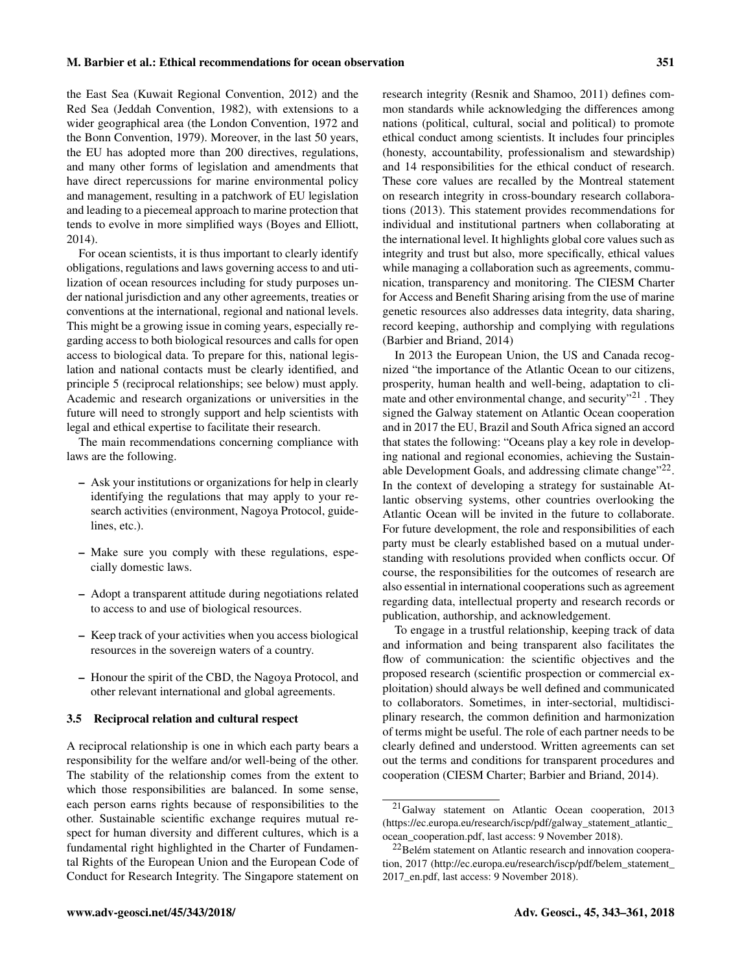the East Sea (Kuwait Regional Convention, 2012) and the Red Sea (Jeddah Convention, 1982), with extensions to a wider geographical area (the London Convention, 1972 and the Bonn Convention, 1979). Moreover, in the last 50 years, the EU has adopted more than 200 directives, regulations, and many other forms of legislation and amendments that have direct repercussions for marine environmental policy and management, resulting in a patchwork of EU legislation and leading to a piecemeal approach to marine protection that tends to evolve in more simplified ways (Boyes and Elliott, 2014).

For ocean scientists, it is thus important to clearly identify obligations, regulations and laws governing access to and utilization of ocean resources including for study purposes under national jurisdiction and any other agreements, treaties or conventions at the international, regional and national levels. This might be a growing issue in coming years, especially regarding access to both biological resources and calls for open access to biological data. To prepare for this, national legislation and national contacts must be clearly identified, and principle 5 (reciprocal relationships; see below) must apply. Academic and research organizations or universities in the future will need to strongly support and help scientists with legal and ethical expertise to facilitate their research.

The main recommendations concerning compliance with laws are the following.

- Ask your institutions or organizations for help in clearly identifying the regulations that may apply to your research activities (environment, Nagoya Protocol, guidelines, etc.).
- Make sure you comply with these regulations, especially domestic laws.
- Adopt a transparent attitude during negotiations related to access to and use of biological resources.
- Keep track of your activities when you access biological resources in the sovereign waters of a country.
- Honour the spirit of the CBD, the Nagoya Protocol, and other relevant international and global agreements.

#### 3.5 Reciprocal relation and cultural respect

A reciprocal relationship is one in which each party bears a responsibility for the welfare and/or well-being of the other. The stability of the relationship comes from the extent to which those responsibilities are balanced. In some sense, each person earns rights because of responsibilities to the other. Sustainable scientific exchange requires mutual respect for human diversity and different cultures, which is a fundamental right highlighted in the Charter of Fundamental Rights of the European Union and the European Code of Conduct for Research Integrity. The Singapore statement on

research integrity (Resnik and Shamoo, 2011) defines common standards while acknowledging the differences among nations (political, cultural, social and political) to promote ethical conduct among scientists. It includes four principles (honesty, accountability, professionalism and stewardship) and 14 responsibilities for the ethical conduct of research. These core values are recalled by the Montreal statement on research integrity in cross-boundary research collaborations (2013). This statement provides recommendations for individual and institutional partners when collaborating at the international level. It highlights global core values such as integrity and trust but also, more specifically, ethical values while managing a collaboration such as agreements, communication, transparency and monitoring. The CIESM Charter for Access and Benefit Sharing arising from the use of marine genetic resources also addresses data integrity, data sharing, record keeping, authorship and complying with regulations (Barbier and Briand, 2014)

In 2013 the European Union, the US and Canada recognized "the importance of the Atlantic Ocean to our citizens, prosperity, human health and well-being, adaptation to climate and other environmental change, and security $"^{21}$ . They signed the Galway statement on Atlantic Ocean cooperation and in 2017 the EU, Brazil and South Africa signed an accord that states the following: "Oceans play a key role in developing national and regional economies, achieving the Sustainable Development Goals, and addressing climate change"<sup>22</sup>. In the context of developing a strategy for sustainable Atlantic observing systems, other countries overlooking the Atlantic Ocean will be invited in the future to collaborate. For future development, the role and responsibilities of each party must be clearly established based on a mutual understanding with resolutions provided when conflicts occur. Of course, the responsibilities for the outcomes of research are also essential in international cooperations such as agreement regarding data, intellectual property and research records or publication, authorship, and acknowledgement.

To engage in a trustful relationship, keeping track of data and information and being transparent also facilitates the flow of communication: the scientific objectives and the proposed research (scientific prospection or commercial exploitation) should always be well defined and communicated to collaborators. Sometimes, in inter-sectorial, multidisciplinary research, the common definition and harmonization of terms might be useful. The role of each partner needs to be clearly defined and understood. Written agreements can set out the terms and conditions for transparent procedures and cooperation (CIESM Charter; Barbier and Briand, 2014).

<sup>21</sup>Galway statement on Atlantic Ocean cooperation, 2013 [\(https://ec.europa.eu/research/iscp/pdf/galway\\_statement\\_atlantic\\_](https://ec.europa.eu/research/iscp/pdf/galway_statement_atlantic_ocean_cooperation.pdf) [ocean\\_cooperation.pdf,](https://ec.europa.eu/research/iscp/pdf/galway_statement_atlantic_ocean_cooperation.pdf) last access: 9 November 2018).

<sup>&</sup>lt;sup>22</sup>Belém statement on Atlantic research and innovation cooperation, 2017 [\(http://ec.europa.eu/research/iscp/pdf/belem\\_statement\\_](http://ec.europa.eu/research/iscp/pdf/belem_statement_2017_en.pdf) [2017\\_en.pdf,](http://ec.europa.eu/research/iscp/pdf/belem_statement_2017_en.pdf) last access: 9 November 2018).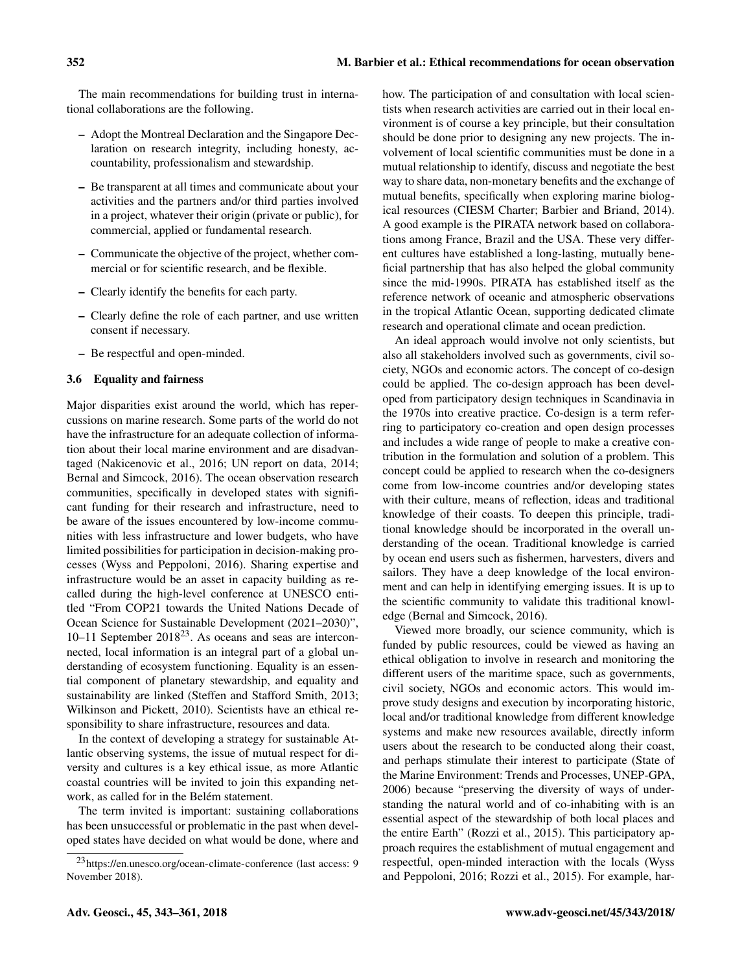The main recommendations for building trust in international collaborations are the following.

- Adopt the Montreal Declaration and the Singapore Declaration on research integrity, including honesty, accountability, professionalism and stewardship.
- Be transparent at all times and communicate about your activities and the partners and/or third parties involved in a project, whatever their origin (private or public), for commercial, applied or fundamental research.
- Communicate the objective of the project, whether commercial or for scientific research, and be flexible.
- Clearly identify the benefits for each party.
- Clearly define the role of each partner, and use written consent if necessary.
- Be respectful and open-minded.

## 3.6 Equality and fairness

Major disparities exist around the world, which has repercussions on marine research. Some parts of the world do not have the infrastructure for an adequate collection of information about their local marine environment and are disadvantaged (Nakicenovic et al., 2016; UN report on data, 2014; Bernal and Simcock, 2016). The ocean observation research communities, specifically in developed states with significant funding for their research and infrastructure, need to be aware of the issues encountered by low-income communities with less infrastructure and lower budgets, who have limited possibilities for participation in decision-making processes (Wyss and Peppoloni, 2016). Sharing expertise and infrastructure would be an asset in capacity building as recalled during the high-level conference at UNESCO entitled "From COP21 towards the United Nations Decade of Ocean Science for Sustainable Development (2021–2030)", 10–11 September  $2018^{23}$ . As oceans and seas are interconnected, local information is an integral part of a global understanding of ecosystem functioning. Equality is an essential component of planetary stewardship, and equality and sustainability are linked (Steffen and Stafford Smith, 2013; Wilkinson and Pickett, 2010). Scientists have an ethical responsibility to share infrastructure, resources and data.

In the context of developing a strategy for sustainable Atlantic observing systems, the issue of mutual respect for diversity and cultures is a key ethical issue, as more Atlantic coastal countries will be invited to join this expanding network, as called for in the Belém statement.

The term invited is important: sustaining collaborations has been unsuccessful or problematic in the past when developed states have decided on what would be done, where and how. The participation of and consultation with local scientists when research activities are carried out in their local environment is of course a key principle, but their consultation should be done prior to designing any new projects. The involvement of local scientific communities must be done in a mutual relationship to identify, discuss and negotiate the best way to share data, non-monetary benefits and the exchange of mutual benefits, specifically when exploring marine biological resources (CIESM Charter; Barbier and Briand, 2014). A good example is the PIRATA network based on collaborations among France, Brazil and the USA. These very different cultures have established a long-lasting, mutually beneficial partnership that has also helped the global community since the mid-1990s. PIRATA has established itself as the reference network of oceanic and atmospheric observations in the tropical Atlantic Ocean, supporting dedicated climate research and operational climate and ocean prediction.

An ideal approach would involve not only scientists, but also all stakeholders involved such as governments, civil society, NGOs and economic actors. The concept of co-design could be applied. The co-design approach has been developed from participatory design techniques in Scandinavia in the 1970s into creative practice. Co-design is a term referring to participatory co-creation and open design processes and includes a wide range of people to make a creative contribution in the formulation and solution of a problem. This concept could be applied to research when the co-designers come from low-income countries and/or developing states with their culture, means of reflection, ideas and traditional knowledge of their coasts. To deepen this principle, traditional knowledge should be incorporated in the overall understanding of the ocean. Traditional knowledge is carried by ocean end users such as fishermen, harvesters, divers and sailors. They have a deep knowledge of the local environment and can help in identifying emerging issues. It is up to the scientific community to validate this traditional knowledge (Bernal and Simcock, 2016).

Viewed more broadly, our science community, which is funded by public resources, could be viewed as having an ethical obligation to involve in research and monitoring the different users of the maritime space, such as governments, civil society, NGOs and economic actors. This would improve study designs and execution by incorporating historic, local and/or traditional knowledge from different knowledge systems and make new resources available, directly inform users about the research to be conducted along their coast, and perhaps stimulate their interest to participate (State of the Marine Environment: Trends and Processes, UNEP-GPA, 2006) because "preserving the diversity of ways of understanding the natural world and of co-inhabiting with is an essential aspect of the stewardship of both local places and the entire Earth" (Rozzi et al., 2015). This participatory approach requires the establishment of mutual engagement and respectful, open-minded interaction with the locals (Wyss and Peppoloni, 2016; Rozzi et al., 2015). For example, har-

<sup>23</sup><https://en.unesco.org/ocean-climate-conference> (last access: 9 November 2018).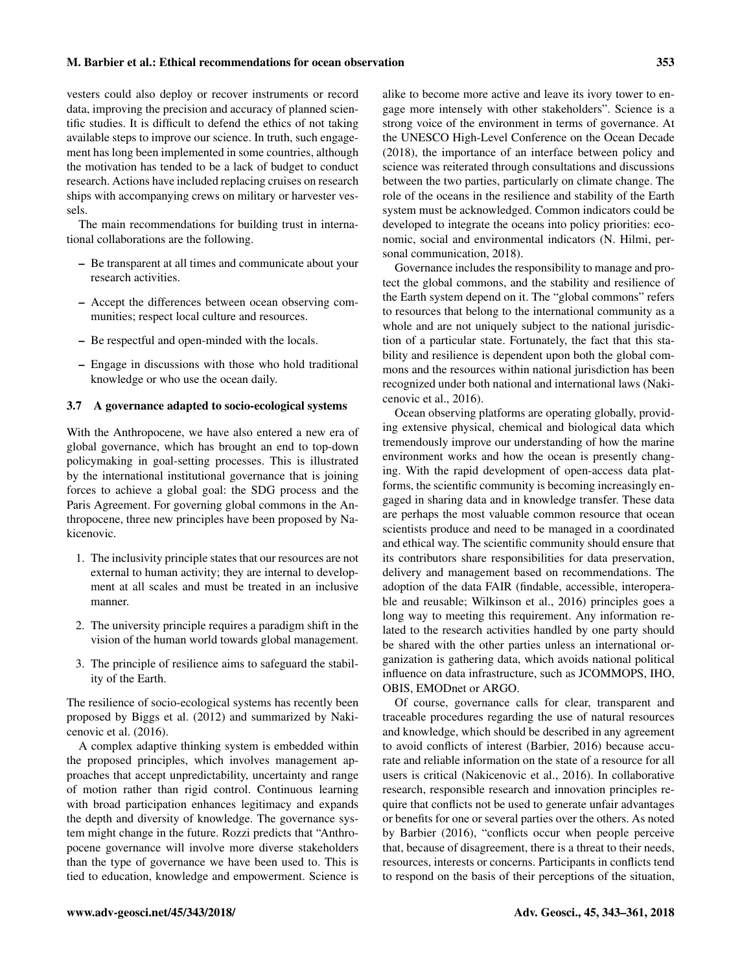vesters could also deploy or recover instruments or record data, improving the precision and accuracy of planned scientific studies. It is difficult to defend the ethics of not taking available steps to improve our science. In truth, such engagement has long been implemented in some countries, although the motivation has tended to be a lack of budget to conduct research. Actions have included replacing cruises on research ships with accompanying crews on military or harvester vessels.

The main recommendations for building trust in international collaborations are the following.

- Be transparent at all times and communicate about your research activities.
- Accept the differences between ocean observing communities; respect local culture and resources.
- Be respectful and open-minded with the locals.
- Engage in discussions with those who hold traditional knowledge or who use the ocean daily.

#### 3.7 A governance adapted to socio-ecological systems

With the Anthropocene, we have also entered a new era of global governance, which has brought an end to top-down policymaking in goal-setting processes. This is illustrated by the international institutional governance that is joining forces to achieve a global goal: the SDG process and the Paris Agreement. For governing global commons in the Anthropocene, three new principles have been proposed by Nakicenovic.

- 1. The inclusivity principle states that our resources are not external to human activity; they are internal to development at all scales and must be treated in an inclusive manner.
- 2. The university principle requires a paradigm shift in the vision of the human world towards global management.
- 3. The principle of resilience aims to safeguard the stability of the Earth.

The resilience of socio-ecological systems has recently been proposed by Biggs et al. (2012) and summarized by Nakicenovic et al. (2016).

A complex adaptive thinking system is embedded within the proposed principles, which involves management approaches that accept unpredictability, uncertainty and range of motion rather than rigid control. Continuous learning with broad participation enhances legitimacy and expands the depth and diversity of knowledge. The governance system might change in the future. Rozzi predicts that "Anthropocene governance will involve more diverse stakeholders than the type of governance we have been used to. This is tied to education, knowledge and empowerment. Science is alike to become more active and leave its ivory tower to engage more intensely with other stakeholders". Science is a strong voice of the environment in terms of governance. At the UNESCO High-Level Conference on the Ocean Decade (2018), the importance of an interface between policy and science was reiterated through consultations and discussions between the two parties, particularly on climate change. The role of the oceans in the resilience and stability of the Earth system must be acknowledged. Common indicators could be developed to integrate the oceans into policy priorities: economic, social and environmental indicators (N. Hilmi, personal communication, 2018).

Governance includes the responsibility to manage and protect the global commons, and the stability and resilience of the Earth system depend on it. The "global commons" refers to resources that belong to the international community as a whole and are not uniquely subject to the national jurisdiction of a particular state. Fortunately, the fact that this stability and resilience is dependent upon both the global commons and the resources within national jurisdiction has been recognized under both national and international laws (Nakicenovic et al., 2016).

Ocean observing platforms are operating globally, providing extensive physical, chemical and biological data which tremendously improve our understanding of how the marine environment works and how the ocean is presently changing. With the rapid development of open-access data platforms, the scientific community is becoming increasingly engaged in sharing data and in knowledge transfer. These data are perhaps the most valuable common resource that ocean scientists produce and need to be managed in a coordinated and ethical way. The scientific community should ensure that its contributors share responsibilities for data preservation, delivery and management based on recommendations. The adoption of the data FAIR (findable, accessible, interoperable and reusable; Wilkinson et al., 2016) principles goes a long way to meeting this requirement. Any information related to the research activities handled by one party should be shared with the other parties unless an international organization is gathering data, which avoids national political influence on data infrastructure, such as JCOMMOPS, IHO, OBIS, EMODnet or ARGO.

Of course, governance calls for clear, transparent and traceable procedures regarding the use of natural resources and knowledge, which should be described in any agreement to avoid conflicts of interest (Barbier, 2016) because accurate and reliable information on the state of a resource for all users is critical (Nakicenovic et al., 2016). In collaborative research, responsible research and innovation principles require that conflicts not be used to generate unfair advantages or benefits for one or several parties over the others. As noted by Barbier (2016), "conflicts occur when people perceive that, because of disagreement, there is a threat to their needs, resources, interests or concerns. Participants in conflicts tend to respond on the basis of their perceptions of the situation,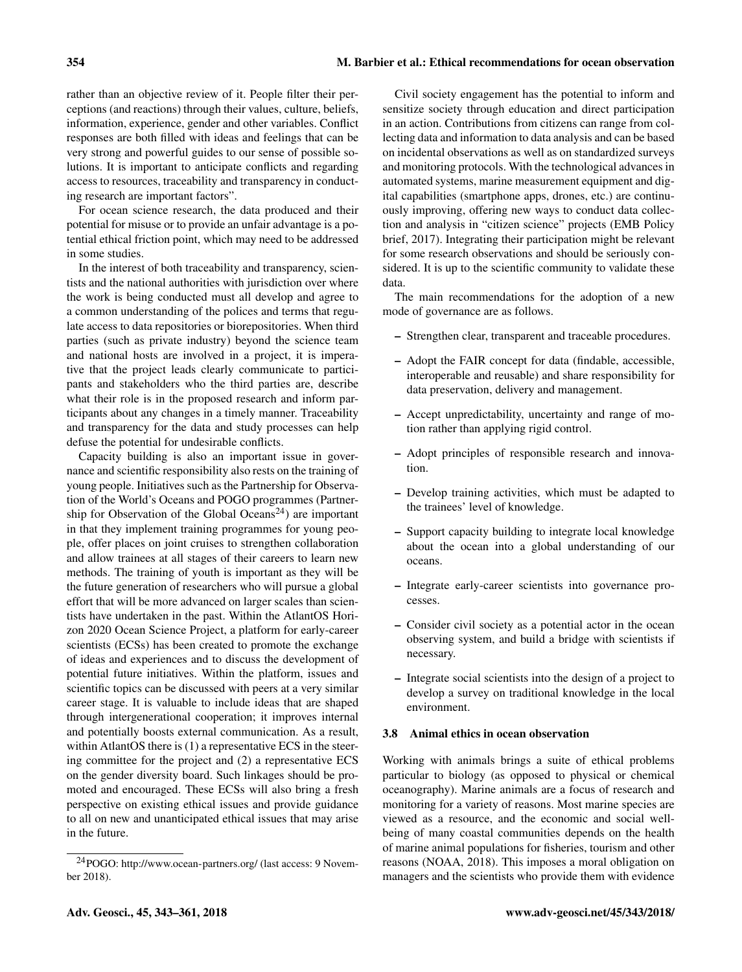rather than an objective review of it. People filter their perceptions (and reactions) through their values, culture, beliefs, information, experience, gender and other variables. Conflict responses are both filled with ideas and feelings that can be very strong and powerful guides to our sense of possible solutions. It is important to anticipate conflicts and regarding access to resources, traceability and transparency in conducting research are important factors".

For ocean science research, the data produced and their potential for misuse or to provide an unfair advantage is a potential ethical friction point, which may need to be addressed in some studies.

In the interest of both traceability and transparency, scientists and the national authorities with jurisdiction over where the work is being conducted must all develop and agree to a common understanding of the polices and terms that regulate access to data repositories or biorepositories. When third parties (such as private industry) beyond the science team and national hosts are involved in a project, it is imperative that the project leads clearly communicate to participants and stakeholders who the third parties are, describe what their role is in the proposed research and inform participants about any changes in a timely manner. Traceability and transparency for the data and study processes can help defuse the potential for undesirable conflicts.

Capacity building is also an important issue in governance and scientific responsibility also rests on the training of young people. Initiatives such as the Partnership for Observation of the World's Oceans and POGO programmes (Partnership for Observation of the Global Oceans<sup>24</sup>) are important in that they implement training programmes for young people, offer places on joint cruises to strengthen collaboration and allow trainees at all stages of their careers to learn new methods. The training of youth is important as they will be the future generation of researchers who will pursue a global effort that will be more advanced on larger scales than scientists have undertaken in the past. Within the AtlantOS Horizon 2020 Ocean Science Project, a platform for early-career scientists (ECSs) has been created to promote the exchange of ideas and experiences and to discuss the development of potential future initiatives. Within the platform, issues and scientific topics can be discussed with peers at a very similar career stage. It is valuable to include ideas that are shaped through intergenerational cooperation; it improves internal and potentially boosts external communication. As a result, within AtlantOS there is (1) a representative ECS in the steering committee for the project and (2) a representative ECS on the gender diversity board. Such linkages should be promoted and encouraged. These ECSs will also bring a fresh perspective on existing ethical issues and provide guidance to all on new and unanticipated ethical issues that may arise in the future.

Civil society engagement has the potential to inform and sensitize society through education and direct participation in an action. Contributions from citizens can range from collecting data and information to data analysis and can be based on incidental observations as well as on standardized surveys and monitoring protocols. With the technological advances in automated systems, marine measurement equipment and digital capabilities (smartphone apps, drones, etc.) are continuously improving, offering new ways to conduct data collection and analysis in "citizen science" projects (EMB Policy brief, 2017). Integrating their participation might be relevant for some research observations and should be seriously considered. It is up to the scientific community to validate these data.

The main recommendations for the adoption of a new mode of governance are as follows.

- Strengthen clear, transparent and traceable procedures.
- Adopt the FAIR concept for data (findable, accessible, interoperable and reusable) and share responsibility for data preservation, delivery and management.
- Accept unpredictability, uncertainty and range of motion rather than applying rigid control.
- Adopt principles of responsible research and innovation.
- Develop training activities, which must be adapted to the trainees' level of knowledge.
- Support capacity building to integrate local knowledge about the ocean into a global understanding of our oceans.
- Integrate early-career scientists into governance processes.
- Consider civil society as a potential actor in the ocean observing system, and build a bridge with scientists if necessary.
- Integrate social scientists into the design of a project to develop a survey on traditional knowledge in the local environment.

#### 3.8 Animal ethics in ocean observation

Working with animals brings a suite of ethical problems particular to biology (as opposed to physical or chemical oceanography). Marine animals are a focus of research and monitoring for a variety of reasons. Most marine species are viewed as a resource, and the economic and social wellbeing of many coastal communities depends on the health of marine animal populations for fisheries, tourism and other reasons (NOAA, 2018). This imposes a moral obligation on managers and the scientists who provide them with evidence

<sup>24</sup>POGO: <http://www.ocean-partners.org/> (last access: 9 November 2018).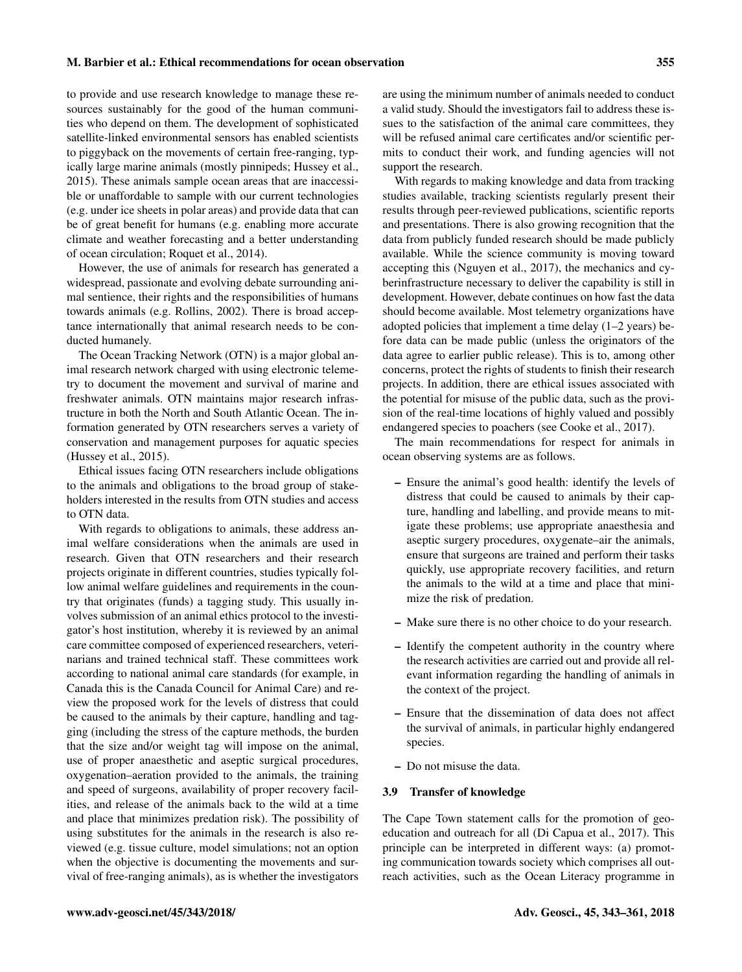to provide and use research knowledge to manage these resources sustainably for the good of the human communities who depend on them. The development of sophisticated satellite-linked environmental sensors has enabled scientists to piggyback on the movements of certain free-ranging, typically large marine animals (mostly pinnipeds; Hussey et al., 2015). These animals sample ocean areas that are inaccessible or unaffordable to sample with our current technologies (e.g. under ice sheets in polar areas) and provide data that can be of great benefit for humans (e.g. enabling more accurate climate and weather forecasting and a better understanding of ocean circulation; Roquet et al., 2014).

However, the use of animals for research has generated a widespread, passionate and evolving debate surrounding animal sentience, their rights and the responsibilities of humans towards animals (e.g. Rollins, 2002). There is broad acceptance internationally that animal research needs to be conducted humanely.

The Ocean Tracking Network (OTN) is a major global animal research network charged with using electronic telemetry to document the movement and survival of marine and freshwater animals. OTN maintains major research infrastructure in both the North and South Atlantic Ocean. The information generated by OTN researchers serves a variety of conservation and management purposes for aquatic species (Hussey et al., 2015).

Ethical issues facing OTN researchers include obligations to the animals and obligations to the broad group of stakeholders interested in the results from OTN studies and access to OTN data.

With regards to obligations to animals, these address animal welfare considerations when the animals are used in research. Given that OTN researchers and their research projects originate in different countries, studies typically follow animal welfare guidelines and requirements in the country that originates (funds) a tagging study. This usually involves submission of an animal ethics protocol to the investigator's host institution, whereby it is reviewed by an animal care committee composed of experienced researchers, veterinarians and trained technical staff. These committees work according to national animal care standards (for example, in Canada this is the Canada Council for Animal Care) and review the proposed work for the levels of distress that could be caused to the animals by their capture, handling and tagging (including the stress of the capture methods, the burden that the size and/or weight tag will impose on the animal, use of proper anaesthetic and aseptic surgical procedures, oxygenation–aeration provided to the animals, the training and speed of surgeons, availability of proper recovery facilities, and release of the animals back to the wild at a time and place that minimizes predation risk). The possibility of using substitutes for the animals in the research is also reviewed (e.g. tissue culture, model simulations; not an option when the objective is documenting the movements and survival of free-ranging animals), as is whether the investigators are using the minimum number of animals needed to conduct a valid study. Should the investigators fail to address these issues to the satisfaction of the animal care committees, they will be refused animal care certificates and/or scientific permits to conduct their work, and funding agencies will not support the research.

With regards to making knowledge and data from tracking studies available, tracking scientists regularly present their results through peer-reviewed publications, scientific reports and presentations. There is also growing recognition that the data from publicly funded research should be made publicly available. While the science community is moving toward accepting this (Nguyen et al., 2017), the mechanics and cyberinfrastructure necessary to deliver the capability is still in development. However, debate continues on how fast the data should become available. Most telemetry organizations have adopted policies that implement a time delay (1–2 years) before data can be made public (unless the originators of the data agree to earlier public release). This is to, among other concerns, protect the rights of students to finish their research projects. In addition, there are ethical issues associated with the potential for misuse of the public data, such as the provision of the real-time locations of highly valued and possibly endangered species to poachers (see Cooke et al., 2017).

The main recommendations for respect for animals in ocean observing systems are as follows.

- Ensure the animal's good health: identify the levels of distress that could be caused to animals by their capture, handling and labelling, and provide means to mitigate these problems; use appropriate anaesthesia and aseptic surgery procedures, oxygenate–air the animals, ensure that surgeons are trained and perform their tasks quickly, use appropriate recovery facilities, and return the animals to the wild at a time and place that minimize the risk of predation.
- Make sure there is no other choice to do your research.
- Identify the competent authority in the country where the research activities are carried out and provide all relevant information regarding the handling of animals in the context of the project.
- Ensure that the dissemination of data does not affect the survival of animals, in particular highly endangered species.
- Do not misuse the data.

#### 3.9 Transfer of knowledge

The Cape Town statement calls for the promotion of geoeducation and outreach for all (Di Capua et al., 2017). This principle can be interpreted in different ways: (a) promoting communication towards society which comprises all outreach activities, such as the Ocean Literacy programme in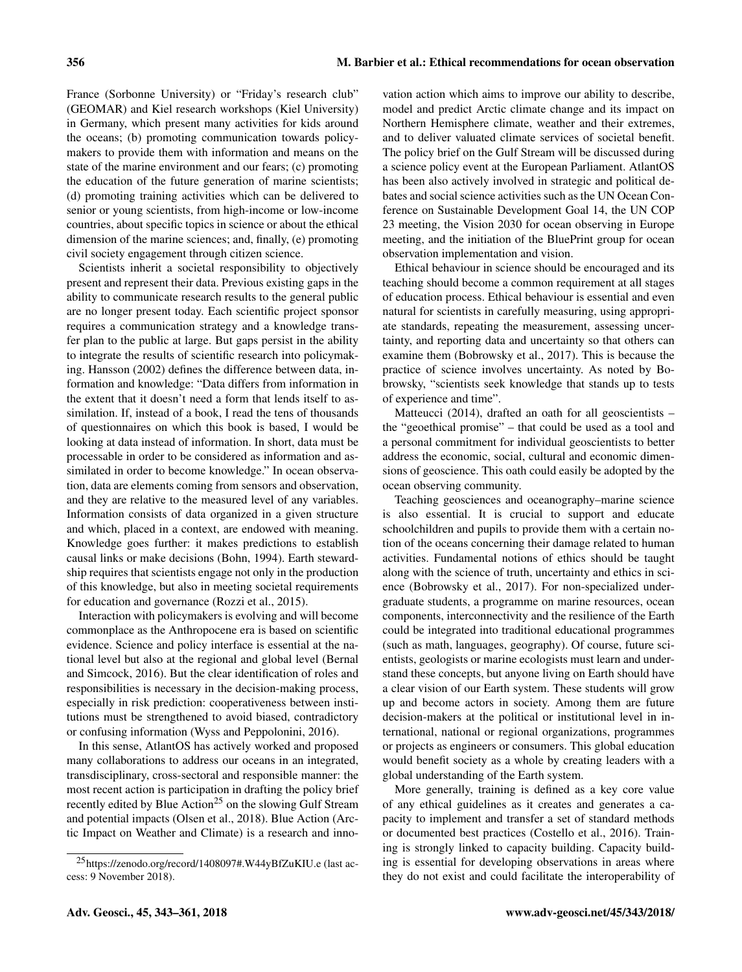France (Sorbonne University) or "Friday's research club" (GEOMAR) and Kiel research workshops (Kiel University) in Germany, which present many activities for kids around the oceans; (b) promoting communication towards policymakers to provide them with information and means on the state of the marine environment and our fears; (c) promoting the education of the future generation of marine scientists; (d) promoting training activities which can be delivered to senior or young scientists, from high-income or low-income countries, about specific topics in science or about the ethical dimension of the marine sciences; and, finally, (e) promoting civil society engagement through citizen science.

Scientists inherit a societal responsibility to objectively present and represent their data. Previous existing gaps in the ability to communicate research results to the general public are no longer present today. Each scientific project sponsor requires a communication strategy and a knowledge transfer plan to the public at large. But gaps persist in the ability to integrate the results of scientific research into policymaking. Hansson (2002) defines the difference between data, information and knowledge: "Data differs from information in the extent that it doesn't need a form that lends itself to assimilation. If, instead of a book, I read the tens of thousands of questionnaires on which this book is based, I would be looking at data instead of information. In short, data must be processable in order to be considered as information and assimilated in order to become knowledge." In ocean observation, data are elements coming from sensors and observation, and they are relative to the measured level of any variables. Information consists of data organized in a given structure and which, placed in a context, are endowed with meaning. Knowledge goes further: it makes predictions to establish causal links or make decisions (Bohn, 1994). Earth stewardship requires that scientists engage not only in the production of this knowledge, but also in meeting societal requirements for education and governance (Rozzi et al., 2015).

Interaction with policymakers is evolving and will become commonplace as the Anthropocene era is based on scientific evidence. Science and policy interface is essential at the national level but also at the regional and global level (Bernal and Simcock, 2016). But the clear identification of roles and responsibilities is necessary in the decision-making process, especially in risk prediction: cooperativeness between institutions must be strengthened to avoid biased, contradictory or confusing information (Wyss and Peppolonini, 2016).

In this sense, AtlantOS has actively worked and proposed many collaborations to address our oceans in an integrated, transdisciplinary, cross-sectoral and responsible manner: the most recent action is participation in drafting the policy brief recently edited by Blue Action<sup>25</sup> on the slowing Gulf Stream and potential impacts (Olsen et al., 2018). Blue Action (Arctic Impact on Weather and Climate) is a research and inno-

vation action which aims to improve our ability to describe, model and predict Arctic climate change and its impact on Northern Hemisphere climate, weather and their extremes, and to deliver valuated climate services of societal benefit. The policy brief on the Gulf Stream will be discussed during a science policy event at the European Parliament. AtlantOS has been also actively involved in strategic and political debates and social science activities such as the UN Ocean Conference on Sustainable Development Goal 14, the UN COP 23 meeting, the Vision 2030 for ocean observing in Europe meeting, and the initiation of the BluePrint group for ocean observation implementation and vision.

Ethical behaviour in science should be encouraged and its teaching should become a common requirement at all stages of education process. Ethical behaviour is essential and even natural for scientists in carefully measuring, using appropriate standards, repeating the measurement, assessing uncertainty, and reporting data and uncertainty so that others can examine them (Bobrowsky et al., 2017). This is because the practice of science involves uncertainty. As noted by Bobrowsky, "scientists seek knowledge that stands up to tests of experience and time".

Matteucci (2014), drafted an oath for all geoscientists the "geoethical promise" – that could be used as a tool and a personal commitment for individual geoscientists to better address the economic, social, cultural and economic dimensions of geoscience. This oath could easily be adopted by the ocean observing community.

Teaching geosciences and oceanography–marine science is also essential. It is crucial to support and educate schoolchildren and pupils to provide them with a certain notion of the oceans concerning their damage related to human activities. Fundamental notions of ethics should be taught along with the science of truth, uncertainty and ethics in science (Bobrowsky et al., 2017). For non-specialized undergraduate students, a programme on marine resources, ocean components, interconnectivity and the resilience of the Earth could be integrated into traditional educational programmes (such as math, languages, geography). Of course, future scientists, geologists or marine ecologists must learn and understand these concepts, but anyone living on Earth should have a clear vision of our Earth system. These students will grow up and become actors in society. Among them are future decision-makers at the political or institutional level in international, national or regional organizations, programmes or projects as engineers or consumers. This global education would benefit society as a whole by creating leaders with a global understanding of the Earth system.

More generally, training is defined as a key core value of any ethical guidelines as it creates and generates a capacity to implement and transfer a set of standard methods or documented best practices (Costello et al., 2016). Training is strongly linked to capacity building. Capacity building is essential for developing observations in areas where they do not exist and could facilitate the interoperability of

<sup>25</sup><https://zenodo.org/record/1408097#.W44yBfZuKIU.e> (last access: 9 November 2018).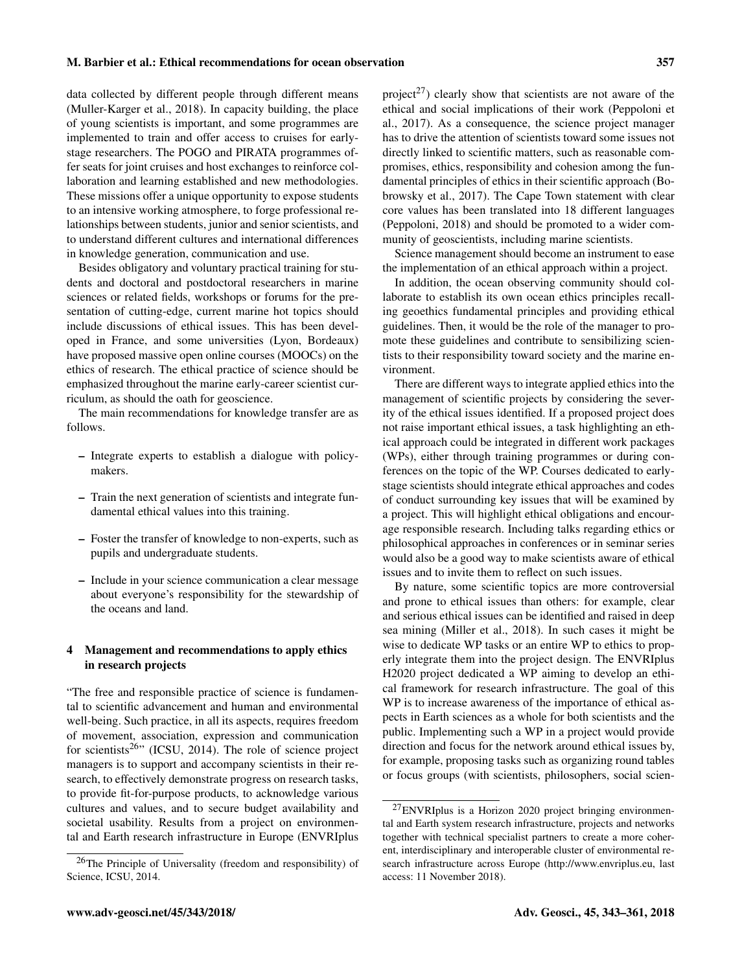data collected by different people through different means (Muller-Karger et al., 2018). In capacity building, the place of young scientists is important, and some programmes are implemented to train and offer access to cruises for earlystage researchers. The POGO and PIRATA programmes offer seats for joint cruises and host exchanges to reinforce collaboration and learning established and new methodologies. These missions offer a unique opportunity to expose students to an intensive working atmosphere, to forge professional relationships between students, junior and senior scientists, and to understand different cultures and international differences in knowledge generation, communication and use.

Besides obligatory and voluntary practical training for students and doctoral and postdoctoral researchers in marine sciences or related fields, workshops or forums for the presentation of cutting-edge, current marine hot topics should include discussions of ethical issues. This has been developed in France, and some universities (Lyon, Bordeaux) have proposed massive open online courses (MOOCs) on the ethics of research. The ethical practice of science should be emphasized throughout the marine early-career scientist curriculum, as should the oath for geoscience.

The main recommendations for knowledge transfer are as follows.

- Integrate experts to establish a dialogue with policymakers.
- Train the next generation of scientists and integrate fundamental ethical values into this training.
- Foster the transfer of knowledge to non-experts, such as pupils and undergraduate students.
- Include in your science communication a clear message about everyone's responsibility for the stewardship of the oceans and land.

# 4 Management and recommendations to apply ethics in research projects

"The free and responsible practice of science is fundamental to scientific advancement and human and environmental well-being. Such practice, in all its aspects, requires freedom of movement, association, expression and communication for scientists<sup>26</sup>" (ICSU, 2014). The role of science project managers is to support and accompany scientists in their research, to effectively demonstrate progress on research tasks, to provide fit-for-purpose products, to acknowledge various cultures and values, and to secure budget availability and societal usability. Results from a project on environmental and Earth research infrastructure in Europe (ENVRIplus

project<sup>27</sup>) clearly show that scientists are not aware of the ethical and social implications of their work (Peppoloni et al., 2017). As a consequence, the science project manager has to drive the attention of scientists toward some issues not directly linked to scientific matters, such as reasonable compromises, ethics, responsibility and cohesion among the fundamental principles of ethics in their scientific approach (Bobrowsky et al., 2017). The Cape Town statement with clear core values has been translated into 18 different languages (Peppoloni, 2018) and should be promoted to a wider community of geoscientists, including marine scientists.

Science management should become an instrument to ease the implementation of an ethical approach within a project.

In addition, the ocean observing community should collaborate to establish its own ocean ethics principles recalling geoethics fundamental principles and providing ethical guidelines. Then, it would be the role of the manager to promote these guidelines and contribute to sensibilizing scientists to their responsibility toward society and the marine environment.

There are different ways to integrate applied ethics into the management of scientific projects by considering the severity of the ethical issues identified. If a proposed project does not raise important ethical issues, a task highlighting an ethical approach could be integrated in different work packages (WPs), either through training programmes or during conferences on the topic of the WP. Courses dedicated to earlystage scientists should integrate ethical approaches and codes of conduct surrounding key issues that will be examined by a project. This will highlight ethical obligations and encourage responsible research. Including talks regarding ethics or philosophical approaches in conferences or in seminar series would also be a good way to make scientists aware of ethical issues and to invite them to reflect on such issues.

By nature, some scientific topics are more controversial and prone to ethical issues than others: for example, clear and serious ethical issues can be identified and raised in deep sea mining (Miller et al., 2018). In such cases it might be wise to dedicate WP tasks or an entire WP to ethics to properly integrate them into the project design. The ENVRIplus H2020 project dedicated a WP aiming to develop an ethical framework for research infrastructure. The goal of this WP is to increase awareness of the importance of ethical aspects in Earth sciences as a whole for both scientists and the public. Implementing such a WP in a project would provide direction and focus for the network around ethical issues by, for example, proposing tasks such as organizing round tables or focus groups (with scientists, philosophers, social scien-

<sup>26</sup>The Principle of Universality (freedom and responsibility) of Science, ICSU, 2014.

<sup>27</sup>ENVRIplus is a Horizon 2020 project bringing environmental and Earth system research infrastructure, projects and networks together with technical specialist partners to create a more coherent, interdisciplinary and interoperable cluster of environmental research infrastructure across Europe [\(http://www.envriplus.eu,](http://www.envriplus.eu) last access: 11 November 2018).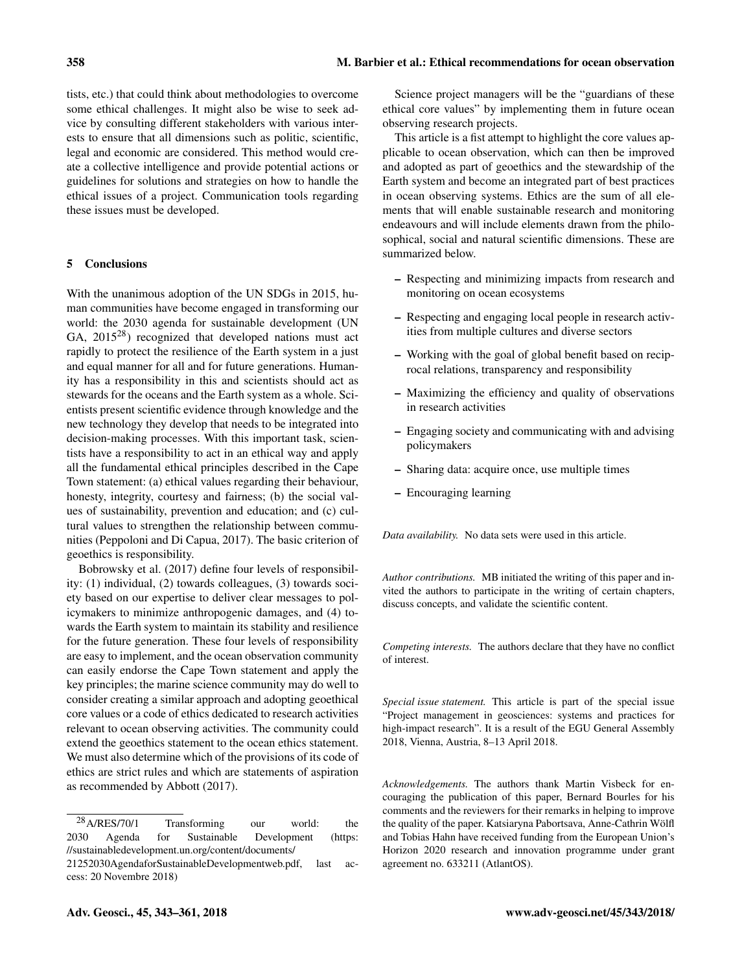tists, etc.) that could think about methodologies to overcome some ethical challenges. It might also be wise to seek advice by consulting different stakeholders with various interests to ensure that all dimensions such as politic, scientific, legal and economic are considered. This method would create a collective intelligence and provide potential actions or guidelines for solutions and strategies on how to handle the ethical issues of a project. Communication tools regarding these issues must be developed.

# 5 Conclusions

With the unanimous adoption of the UN SDGs in 2015, human communities have become engaged in transforming our world: the 2030 agenda for sustainable development (UN GA, 2015<sup>28</sup>) recognized that developed nations must act rapidly to protect the resilience of the Earth system in a just and equal manner for all and for future generations. Humanity has a responsibility in this and scientists should act as stewards for the oceans and the Earth system as a whole. Scientists present scientific evidence through knowledge and the new technology they develop that needs to be integrated into decision-making processes. With this important task, scientists have a responsibility to act in an ethical way and apply all the fundamental ethical principles described in the Cape Town statement: (a) ethical values regarding their behaviour, honesty, integrity, courtesy and fairness; (b) the social values of sustainability, prevention and education; and (c) cultural values to strengthen the relationship between communities (Peppoloni and Di Capua, 2017). The basic criterion of geoethics is responsibility.

Bobrowsky et al. (2017) define four levels of responsibility: (1) individual, (2) towards colleagues, (3) towards society based on our expertise to deliver clear messages to policymakers to minimize anthropogenic damages, and (4) towards the Earth system to maintain its stability and resilience for the future generation. These four levels of responsibility are easy to implement, and the ocean observation community can easily endorse the Cape Town statement and apply the key principles; the marine science community may do well to consider creating a similar approach and adopting geoethical core values or a code of ethics dedicated to research activities relevant to ocean observing activities. The community could extend the geoethics statement to the ocean ethics statement. We must also determine which of the provisions of its code of ethics are strict rules and which are statements of aspiration as recommended by Abbott (2017).

Science project managers will be the "guardians of these ethical core values" by implementing them in future ocean observing research projects.

This article is a fist attempt to highlight the core values applicable to ocean observation, which can then be improved and adopted as part of geoethics and the stewardship of the Earth system and become an integrated part of best practices in ocean observing systems. Ethics are the sum of all elements that will enable sustainable research and monitoring endeavours and will include elements drawn from the philosophical, social and natural scientific dimensions. These are summarized below.

- Respecting and minimizing impacts from research and monitoring on ocean ecosystems
- Respecting and engaging local people in research activities from multiple cultures and diverse sectors
- Working with the goal of global benefit based on reciprocal relations, transparency and responsibility
- Maximizing the efficiency and quality of observations in research activities
- Engaging society and communicating with and advising policymakers
- Sharing data: acquire once, use multiple times
- Encouraging learning

*Data availability.* No data sets were used in this article.

*Author contributions.* MB initiated the writing of this paper and invited the authors to participate in the writing of certain chapters, discuss concepts, and validate the scientific content.

*Competing interests.* The authors declare that they have no conflict of interest.

*Special issue statement.* This article is part of the special issue "Project management in geosciences: systems and practices for high-impact research". It is a result of the EGU General Assembly 2018, Vienna, Austria, 8–13 April 2018.

*Acknowledgements.* The authors thank Martin Visbeck for encouraging the publication of this paper, Bernard Bourles for his comments and the reviewers for their remarks in helping to improve the quality of the paper. Katsiaryna Pabortsava, Anne-Cathrin Wölfl and Tobias Hahn have received funding from the European Union's Horizon 2020 research and innovation programme under grant agreement no. 633211 (AtlantOS).

<sup>28</sup>A/RES/70/1 Transforming our world: the 2030 Agenda for Sustainable Development [\(https:](https://sustainabledevelopment.un.org/content/documents/21252030 Agenda for Sustainable Development web.pdf) [//sustainabledevelopment.un.org/content/documents/](https://sustainabledevelopment.un.org/content/documents/21252030 Agenda for Sustainable Development web.pdf)

[<sup>21252030</sup>AgendaforSustainableDevelopmentweb.pdf,](https://sustainabledevelopment.un.org/content/documents/21252030 Agenda for Sustainable Development web.pdf) last access: 20 Novembre 2018)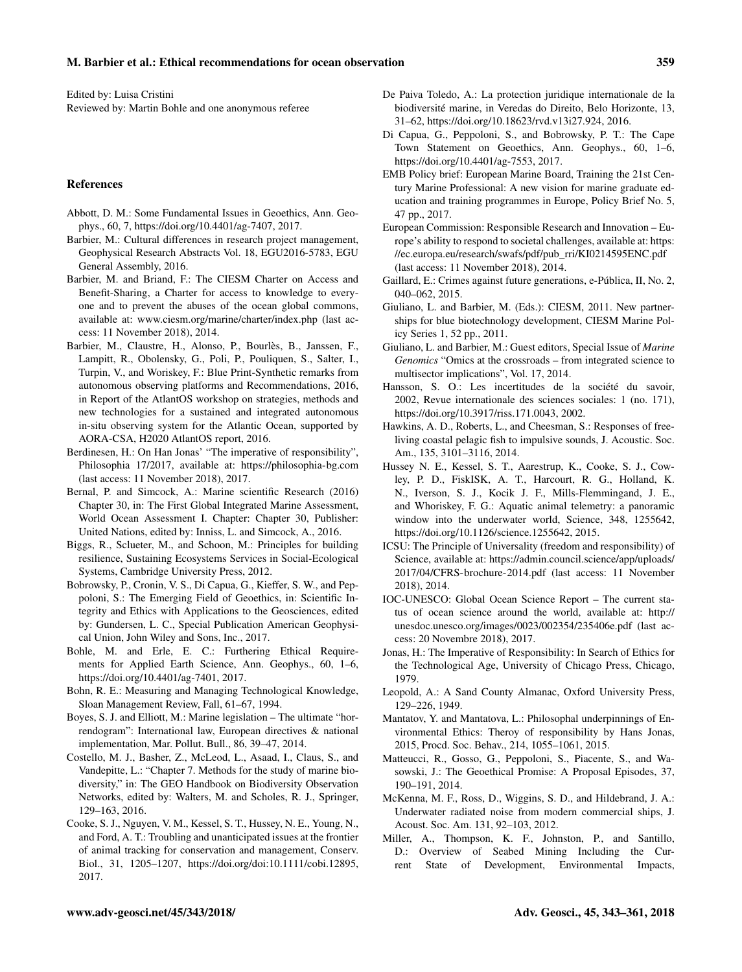Edited by: Luisa Cristini Reviewed by: Martin Bohle and one anonymous referee

#### References

- Abbott, D. M.: Some Fundamental Issues in Geoethics, Ann. Geophys., 60, 7, https://doi.org[/10.4401/ag-7407,](https://doi.org/10.4401/ag-7407) 2017.
- Barbier, M.: Cultural differences in research project management, Geophysical Research Abstracts Vol. 18, EGU2016-5783, EGU General Assembly, 2016.
- Barbier, M. and Briand, F.: The CIESM Charter on Access and Benefit-Sharing, a Charter for access to knowledge to everyone and to prevent the abuses of the ocean global commons, available at: <www.ciesm.org/marine/charter/index.php> (last access: 11 November 2018), 2014.
- Barbier, M., Claustre, H., Alonso, P., Bourlès, B., Janssen, F., Lampitt, R., Obolensky, G., Poli, P., Pouliquen, S., Salter, I., Turpin, V., and Woriskey, F.: Blue Print-Synthetic remarks from autonomous observing platforms and Recommendations, 2016, in Report of the AtlantOS workshop on strategies, methods and new technologies for a sustained and integrated autonomous in-situ observing system for the Atlantic Ocean, supported by AORA-CSA, H2020 AtlantOS report, 2016.
- Berdinesen, H.: On Han Jonas' "The imperative of responsibility", Philosophia 17/2017, available at: <https://philosophia-bg.com> (last access: 11 November 2018), 2017.
- Bernal, P. and Simcock, A.: Marine scientific Research (2016) Chapter 30, in: The First Global Integrated Marine Assessment, World Ocean Assessment I. Chapter: Chapter 30, Publisher: United Nations, edited by: Inniss, L. and Simcock, A., 2016.
- Biggs, R., Sclueter, M., and Schoon, M.: Principles for building resilience, Sustaining Ecosystems Services in Social-Ecological Systems, Cambridge University Press, 2012.
- Bobrowsky, P., Cronin, V. S., Di Capua, G., Kieffer, S. W., and Peppoloni, S.: The Emerging Field of Geoethics, in: Scientific Integrity and Ethics with Applications to the Geosciences, edited by: Gundersen, L. C., Special Publication American Geophysical Union, John Wiley and Sons, Inc., 2017.
- Bohle, M. and Erle, E. C.: Furthering Ethical Requirements for Applied Earth Science, Ann. Geophys., 60, 1–6, https://doi.org[/10.4401/ag-7401,](https://doi.org/10.4401/ag-7401) 2017.
- Bohn, R. E.: Measuring and Managing Technological Knowledge, Sloan Management Review, Fall, 61–67, 1994.
- Boyes, S. J. and Elliott, M.: Marine legislation The ultimate "horrendogram": International law, European directives & national implementation, Mar. Pollut. Bull., 86, 39–47, 2014.
- Costello, M. J., Basher, Z., McLeod, L., Asaad, I., Claus, S., and Vandepitte, L.: "Chapter 7. Methods for the study of marine biodiversity," in: The GEO Handbook on Biodiversity Observation Networks, edited by: Walters, M. and Scholes, R. J., Springer, 129–163, 2016.
- Cooke, S. J., Nguyen, V. M., Kessel, S. T., Hussey, N. E., Young, N., and Ford, A. T.: Troubling and unanticipated issues at the frontier of animal tracking for conservation and management, Conserv. Biol., 31, 1205–1207, https://doi.org[/doi:10.1111/cobi.12895,](https://doi.org/doi:10.1111/cobi.12895) 2017.
- De Paiva Toledo, A.: La protection juridique internationale de la biodiversité marine, in Veredas do Direito, Belo Horizonte, 13, 31–62, https://doi.org[/10.18623/rvd.v13i27.924,](https://doi.org/10.18623/rvd.v13i27.924) 2016.
- Di Capua, G., Peppoloni, S., and Bobrowsky, P. T.: The Cape Town Statement on Geoethics, Ann. Geophys., 60, 1–6, https://doi.org[/10.4401/ag-7553,](https://doi.org/10.4401/ag-7553) 2017.
- EMB Policy brief: European Marine Board, Training the 21st Century Marine Professional: A new vision for marine graduate education and training programmes in Europe, Policy Brief No. 5, 47 pp., 2017.
- European Commission: Responsible Research and Innovation Europe's ability to respond to societal challenges, available at: [https:](https://ec.europa.eu/research/swafs/pdf/pub_rri/KI0214595ENC.pdf) [//ec.europa.eu/research/swafs/pdf/pub\\_rri/KI0214595ENC.pdf](https://ec.europa.eu/research/swafs/pdf/pub_rri/KI0214595ENC.pdf) (last access: 11 November 2018), 2014.
- Gaillard, E.: Crimes against future generations, e-Pública, II, No. 2, 040–062, 2015.
- Giuliano, L. and Barbier, M. (Eds.): CIESM, 2011. New partnerships for blue biotechnology development, CIESM Marine Policy Series 1, 52 pp., 2011.
- Giuliano, L. and Barbier, M.: Guest editors, Special Issue of *Marine Genomics* "Omics at the crossroads – from integrated science to multisector implications", Vol. 17, 2014.
- Hansson, S. O.: Les incertitudes de la société du savoir, 2002, Revue internationale des sciences sociales: 1 (no. 171), https://doi.org[/10.3917/riss.171.0043,](https://doi.org/10.3917/riss.171.0043) 2002.
- Hawkins, A. D., Roberts, L., and Cheesman, S.: Responses of freeliving coastal pelagic fish to impulsive sounds, J. Acoustic. Soc. Am., 135, 3101–3116, 2014.
- Hussey N. E., Kessel, S. T., Aarestrup, K., Cooke, S. J., Cowley, P. D., FiskISK, A. T., Harcourt, R. G., Holland, K. N., Iverson, S. J., Kocik J. F., Mills-Flemmingand, J. E., and Whoriskey, F. G.: Aquatic animal telemetry: a panoramic window into the underwater world, Science, 348, 1255642, https://doi.org[/10.1126/science.1255642,](https://doi.org/10.1126/science.1255642) 2015.
- ICSU: The Principle of Universality (freedom and responsibility) of Science, available at: [https://admin.council.science/app/uploads/](https://admin.council.science/app/uploads/2017/04/CFRS-brochure-2014.pdf) [2017/04/CFRS-brochure-2014.pdf](https://admin.council.science/app/uploads/2017/04/CFRS-brochure-2014.pdf) (last access: 11 November 2018), 2014.
- IOC-UNESCO: Global Ocean Science Report The current status of ocean science around the world, available at: [http://](http://unesdoc.unesco.org/images/0023/002354/235406e.pdf) [unesdoc.unesco.org/images/0023/002354/235406e.pdf](http://unesdoc.unesco.org/images/0023/002354/235406e.pdf) (last access: 20 Novembre 2018), 2017.
- Jonas, H.: The Imperative of Responsibility: In Search of Ethics for the Technological Age, University of Chicago Press, Chicago, 1979.
- Leopold, A.: A Sand County Almanac, Oxford University Press, 129–226, 1949.
- Mantatov, Y. and Mantatova, L.: Philosophal underpinnings of Environmental Ethics: Theroy of responsibility by Hans Jonas, 2015, Procd. Soc. Behav., 214, 1055–1061, 2015.
- Matteucci, R., Gosso, G., Peppoloni, S., Piacente, S., and Wasowski, J.: The Geoethical Promise: A Proposal Episodes, 37, 190–191, 2014.
- McKenna, M. F., Ross, D., Wiggins, S. D., and Hildebrand, J. A.: Underwater radiated noise from modern commercial ships, J. Acoust. Soc. Am. 131, 92–103, 2012.
- Miller, A., Thompson, K. F., Johnston, P., and Santillo, D.: Overview of Seabed Mining Including the Current State of Development, Environmental Impacts,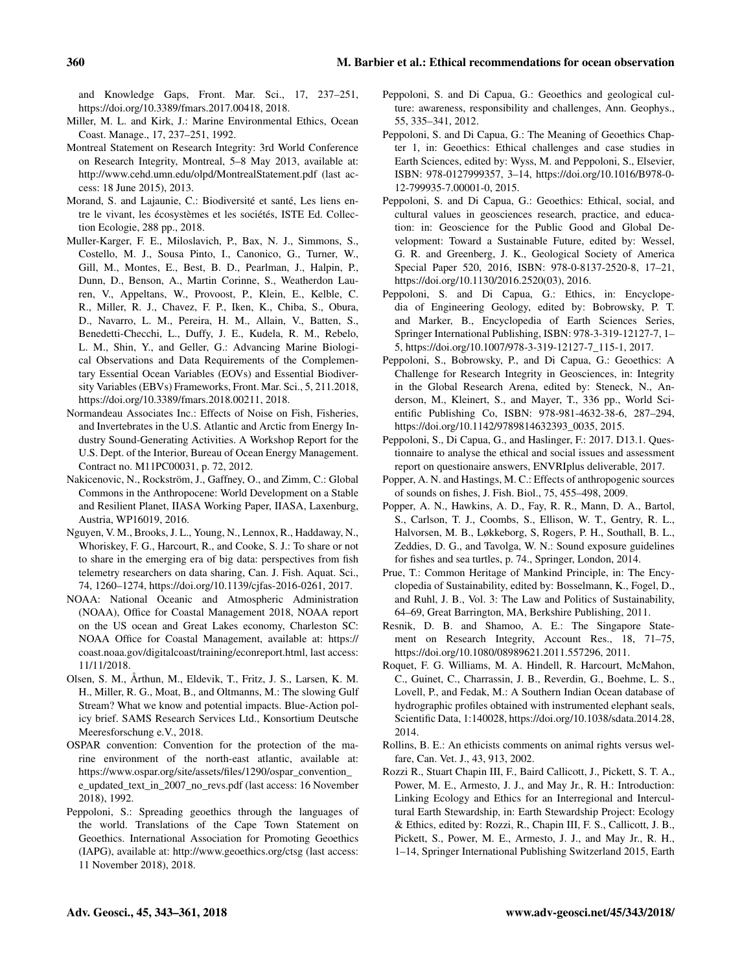and Knowledge Gaps, Front. Mar. Sci., 17, 237–251, https://doi.org[/10.3389/fmars.2017.00418,](https://doi.org/10.3389/fmars.2017.00418) 2018.

- Miller, M. L. and Kirk, J.: Marine Environmental Ethics, Ocean Coast. Manage., 17, 237–251, 1992.
- Montreal Statement on Research Integrity: 3rd World Conference on Research Integrity, Montreal, 5–8 May 2013, available at: <http://www.cehd.umn.edu/olpd/MontrealStatement.pdf> (last access: 18 June 2015), 2013.
- Morand, S. and Lajaunie, C.: Biodiversité et santé, Les liens entre le vivant, les écosystèmes et les sociétés, ISTE Ed. Collection Ecologie, 288 pp., 2018.
- Muller-Karger, F. E., Miloslavich, P., Bax, N. J., Simmons, S., Costello, M. J., Sousa Pinto, I., Canonico, G., Turner, W., Gill, M., Montes, E., Best, B. D., Pearlman, J., Halpin, P., Dunn, D., Benson, A., Martin Corinne, S., Weatherdon Lauren, V., Appeltans, W., Provoost, P., Klein, E., Kelble, C. R., Miller, R. J., Chavez, F. P., Iken, K., Chiba, S., Obura, D., Navarro, L. M., Pereira, H. M., Allain, V., Batten, S., Benedetti-Checchi, L., Duffy, J. E., Kudela, R. M., Rebelo, L. M., Shin, Y., and Geller, G.: Advancing Marine Biological Observations and Data Requirements of the Complementary Essential Ocean Variables (EOVs) and Essential Biodiversity Variables (EBVs) Frameworks, Front. Mar. Sci., 5, 211.2018, https://doi.org[/10.3389/fmars.2018.00211,](https://doi.org/10.3389/fmars.2018.00211) 2018.
- Normandeau Associates Inc.: Effects of Noise on Fish, Fisheries, and Invertebrates in the U.S. Atlantic and Arctic from Energy Industry Sound-Generating Activities. A Workshop Report for the U.S. Dept. of the Interior, Bureau of Ocean Energy Management. Contract no. M11PC00031, p. 72, 2012.
- Nakicenovic, N., Rockström, J., Gaffney, O., and Zimm, C.: Global Commons in the Anthropocene: World Development on a Stable and Resilient Planet, IIASA Working Paper, IIASA, Laxenburg, Austria, WP16019, 2016.
- Nguyen, V. M., Brooks, J. L., Young, N., Lennox, R., Haddaway, N., Whoriskey, F. G., Harcourt, R., and Cooke, S. J.: To share or not to share in the emerging era of big data: perspectives from fish telemetry researchers on data sharing, Can. J. Fish. Aquat. Sci., 74, 1260–1274, https://doi.org[/10.1139/cjfas-2016-0261,](https://doi.org/10.1139/cjfas-2016-0261) 2017.
- NOAA: National Oceanic and Atmospheric Administration (NOAA), Office for Coastal Management 2018, NOAA report on the US ocean and Great Lakes economy, Charleston SC: NOAA Office for Coastal Management, available at: [https://](https://coast.noaa.gov/digitalcoast/training/econreport.html) [coast.noaa.gov/digitalcoast/training/econreport.html,](https://coast.noaa.gov/digitalcoast/training/econreport.html) last access: 11/11/2018.
- Olsen, S. M., Årthun, M., Eldevik, T., Fritz, J. S., Larsen, K. M. H., Miller, R. G., Moat, B., and Oltmanns, M.: The slowing Gulf Stream? What we know and potential impacts. Blue-Action policy brief. SAMS Research Services Ltd., Konsortium Deutsche Meeresforschung e.V., 2018.
- OSPAR convention: Convention for the protection of the marine environment of the north-east atlantic, available at: [https://www.ospar.org/site/assets/files/1290/ospar\\_convention\\_](https://www.ospar.org/site/assets/files/1290/ospar_convention_e_updated_text_in_2007_no_revs.pdf) [e\\_updated\\_text\\_in\\_2007\\_no\\_revs.pdf](https://www.ospar.org/site/assets/files/1290/ospar_convention_e_updated_text_in_2007_no_revs.pdf) (last access: 16 November 2018), 1992.
- Peppoloni, S.: Spreading geoethics through the languages of the world. Translations of the Cape Town Statement on Geoethics. International Association for Promoting Geoethics (IAPG), available at: <http://www.geoethics.org/ctsg> (last access: 11 November 2018), 2018.
- Peppoloni, S. and Di Capua, G.: Geoethics and geological culture: awareness, responsibility and challenges, Ann. Geophys., 55, 335–341, 2012.
- Peppoloni, S. and Di Capua, G.: The Meaning of Geoethics Chapter 1, in: Geoethics: Ethical challenges and case studies in Earth Sciences, edited by: Wyss, M. and Peppoloni, S., Elsevier, ISBN: 978-0127999357, 3–14, https://doi.org[/10.1016/B978-0-](https://doi.org/10.1016/B978-0-12-799935-7.00001-0) [12-799935-7.00001-0,](https://doi.org/10.1016/B978-0-12-799935-7.00001-0) 2015.
- Peppoloni, S. and Di Capua, G.: Geoethics: Ethical, social, and cultural values in geosciences research, practice, and education: in: Geoscience for the Public Good and Global Development: Toward a Sustainable Future, edited by: Wessel, G. R. and Greenberg, J. K., Geological Society of America Special Paper 520, 2016, ISBN: 978-0-8137-2520-8, 17–21, https://doi.org[/10.1130/2016.2520\(03\),](https://doi.org/10.1130/2016.2520(03)) 2016.
- Peppoloni, S. and Di Capua, G.: Ethics, in: Encyclopedia of Engineering Geology, edited by: Bobrowsky, P. T. and Marker, B., Encyclopedia of Earth Sciences Series, Springer International Publishing, ISBN: 978-3-319-12127-7, 1– 5, https://doi.org[/10.1007/978-3-319-12127-7\\_115-1,](https://doi.org/10.1007/978-3-319-12127-7_115-1) 2017.
- Peppoloni, S., Bobrowsky, P., and Di Capua, G.: Geoethics: A Challenge for Research Integrity in Geosciences, in: Integrity in the Global Research Arena, edited by: Steneck, N., Anderson, M., Kleinert, S., and Mayer, T., 336 pp., World Scientific Publishing Co, ISBN: 978-981-4632-38-6, 287–294, https://doi.org[/10.1142/9789814632393\\_0035,](https://doi.org/10.1142/9789814632393_0035) 2015.
- Peppoloni, S., Di Capua, G., and Haslinger, F.: 2017. D13.1. Questionnaire to analyse the ethical and social issues and assessment report on questionaire answers, ENVRIplus deliverable, 2017.
- Popper, A. N. and Hastings, M. C.: Effects of anthropogenic sources of sounds on fishes, J. Fish. Biol., 75, 455–498, 2009.
- Popper, A. N., Hawkins, A. D., Fay, R. R., Mann, D. A., Bartol, S., Carlson, T. J., Coombs, S., Ellison, W. T., Gentry, R. L., Halvorsen, M. B., Løkkeborg, S, Rogers, P. H., Southall, B. L., Zeddies, D. G., and Tavolga, W. N.: Sound exposure guidelines for fishes and sea turtles, p. 74., Springer, London, 2014.
- Prue, T.: Common Heritage of Mankind Principle, in: The Encyclopedia of Sustainability, edited by: Bosselmann, K., Fogel, D., and Ruhl, J. B., Vol. 3: The Law and Politics of Sustainability, 64–69, Great Barrington, MA, Berkshire Publishing, 2011.
- Resnik, D. B. and Shamoo, A. E.: The Singapore Statement on Research Integrity, Account Res., 18, 71–75, https://doi.org[/10.1080/08989621.2011.557296,](https://doi.org/10.1080/08989621.2011.557296) 2011.
- Roquet, F. G. Williams, M. A. Hindell, R. Harcourt, McMahon, C., Guinet, C., Charrassin, J. B., Reverdin, G., Boehme, L. S., Lovell, P., and Fedak, M.: A Southern Indian Ocean database of hydrographic profiles obtained with instrumented elephant seals, Scientific Data, 1:140028, https://doi.org[/10.1038/sdata.2014.28,](https://doi.org/10.1038/sdata.2014.28) 2014.
- Rollins, B. E.: An ethicists comments on animal rights versus welfare, Can. Vet. J., 43, 913, 2002.
- Rozzi R., Stuart Chapin III, F., Baird Callicott, J., Pickett, S. T. A., Power, M. E., Armesto, J. J., and May Jr., R. H.: Introduction: Linking Ecology and Ethics for an Interregional and Intercultural Earth Stewardship, in: Earth Stewardship Project: Ecology & Ethics, edited by: Rozzi, R., Chapin III, F. S., Callicott, J. B., Pickett, S., Power, M. E., Armesto, J. J., and May Jr., R. H., 1–14, Springer International Publishing Switzerland 2015, Earth